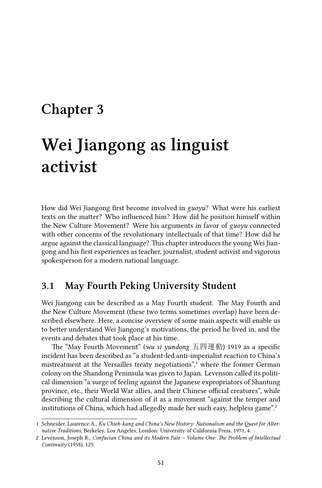# **Chapter 3**

# **Wei Jiangong as linguist activist**

How did Wei Jiangong first become involved in *guoyu*? What were his earliest texts on the matter? Who influenced him? How did he position himself within the New Culture Movement? Were his arguments in favor of *guoyu* connected with other concerns of the revolutionary intellectuals of that time? How did he argue against the classical language? This chapter introduces the young Wei Jiangong and his first experiences as teacher, journalist, student activist and vigorous spokesperson for a modern national language.

#### **3.1 May Fourth Peking University Student**

Wei Jiangong can be described as a May Fourth student. The May Fourth and the New Culture Movement (these two terms sometimes overlap) have been described elsewhere. Here, a concise overview of some main aspects will enable us to better understand Wei Jiangong's motivations, the period he lived in, and the events and debates that took place at his time.

The "May Fourth Movement" (*wu si yundong* 五四運動) 1919 as a specific incident has been described as "a student-led anti-imperialist reaction to China's mistreatment at the Versailles treaty negotiations",<sup>1</sup> where the former German colony on the Shandong Peninsula was given to Japan. Levenson called its political dimension "a surge of feeling against the Japanese expropriators of Shantung province, etc., their World War allies, and their Chinese official creatures", while describing the cultural dimension of it as a movement "against the temper and institutions of China, which had allegedly made her such easy, helpless game".<sup>2</sup>

<sup>1</sup> Schneider, Laurence A., *Ku Chieh-kang and China's New History: Nationalism and the Quest for Alternative Traditions*, Berkeley, Los Angeles, London: University of California Press, 1971, 4.

<sup>2</sup> Levenson, Joseph R., *Confucian China and its Modern Fate – Volume One: The Problem of Intellectual Continuity* (1958), 125.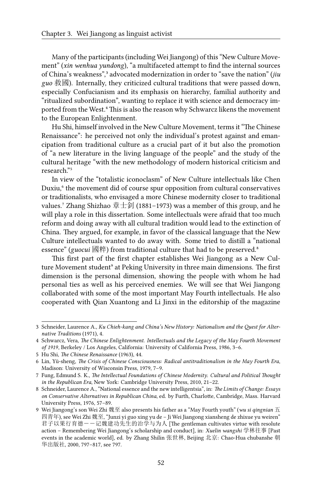Many of the participants (including Wei Jiangong) of this "New Culture Movement" (*xin wenhua yundong*), "a multifaceted attempt to find the internal sources of China's weakness",<sup>3</sup> advocated modernization in order to "save the nation" (*jiu guo* 救國). Internally, they criticized cultural traditions that were passed down, especially Confucianism and its emphasis on hierarchy, familial authority and "ritualized subordination", wanting to replace it with science and democracy imported from the West.<sup>4</sup> This is also the reason why Schwarcz likens the movement to the European Enlightenment.

Hu Shi, himself involved in the New Culture Movement, terms it "The Chinese Renaissance": he perceived not only the individual's protest against and emancipation from traditional culture as a crucial part of it but also the promotion of "a new literature in the living language of the people" and the study of the cultural heritage "with the new methodology of modern historical criticism and research."5

In view of the "totalistic iconoclasm" of New Culture intellectuals like Chen Duxiu,<sup>6</sup> the movement did of course spur opposition from cultural conservatives or traditionalists, who envisaged a more Chinese modernity closer to traditional values.<sup>7</sup> Zhang Shizhao 章士釗 (1881–1973) was a member of this group, and he will play a role in this dissertation. Some intellectuals were afraid that too much reform and doing away with all cultural tradition would lead to the extinction of China. They argued, for example, in favor of the classical language that the New Culture intellectuals wanted to do away with. Some tried to distill a "national essence" (*guocui* 國粹) from traditional culture that had to be preserved.<sup>8</sup>

This first part of the first chapter establishes Wei Jiangong as a New Culture Movement student<sup>9</sup> at Peking University in three main dimensions. The first dimension is the personal dimension, showing the people with whom he had personal ties as well as his perceived enemies. We will see that Wei Jiangong collaborated with some of the most important May Fourth intellectuals. He also cooperated with Qian Xuantong and Li Jinxi in the editorship of the magazine

<sup>3</sup> Schneider, Laurence A., *Ku Chieh-kang and China's New History: Nationalism and the Quest for Alternative Traditions* (1971), 4.

<sup>4</sup> Schwarcz, Vera, *The Chinese Enlightenment. Intellectuals and the Legacy of the May Fourth Movement of 1919*, Berkeley / Los Angeles, California: University of California Press, 1986, 3–6.

<sup>5</sup> Hu Shi, *The Chinese Renaissance* (1963), 44.

<sup>6</sup> Lin, Yü-sheng, *The Crisis of Chinese Consciousness: Radical antitraditionalism in the May Fourth Era*, Madison: University of Wisconsin Press, 1979, 7–9.

<sup>7</sup> Fung, Edmund S. K., *The Intellectual Foundations of Chinese Modernity. Cultural and Political Thought in the Republican Era*, New York: Cambridge University Press, 2010, 21–22.

<sup>8</sup> Schneider, Laurence A., "National essence and the new intelligentsia", in: *The Limits of Change: Essays on Conservative Alternatives in Republican China*, ed. by Furth, Charlotte, Cambridge, Mass. Harvard University Press, 1976, 57–89.

<sup>9</sup> Wei Jiangong's son Wei Zhi 魏至 also presents his father as a "May Fourth youth" (*wu si qingnian* 五 四青年), see Wei Zhi 魏至, "Junzi yi guo xing yu de – Ji Wei Jiangong xiansheng de zhixue yu weiren" 君子以果行育德--记魏建功先生的治学与为人 [The gentleman cultivates virtue with resolute action – Remembering Wei Jiangong's scholarship and conduct], in: *Xuelin wangshi* 学林往事 [Past events in the academic world], ed. by Zhang Shilin 张世林, Beijing 北京: Chao-Hua chubanshe 朝 华出版社, 2000, 797–817, see 797.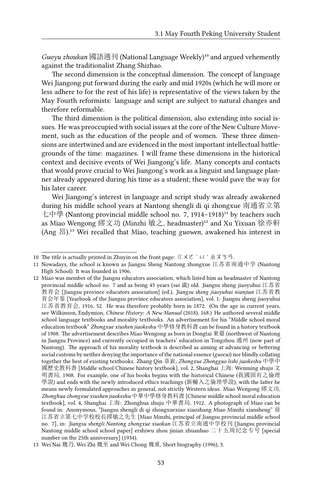Guoyu zhoukan 國語週刊 (National Language Weekly)<sup>10</sup> and argued vehemently against the traditionalist Zhang Shizhao.

The second dimension is the conceptual dimension. The concept of language Wei Jiangong put forward during the early and mid 1920s (which he will more or less adhere to for the rest of his life) is representative of the views taken by the May Fourth reformists: language and script are subject to natural changes and therefore reformable.

The third dimension is the political dimension, also extending into social issues. He was preoccupied with social issues at the core of the New Culture Movement, such as the education of the people and of women. These three dimensions are intertwined and are evidenced in the most important intellectual battlegrounds of the time: magazines. I will frame these dimensions in the historical context and decisive events of Wei Jiangong's life. Many concepts and contacts that would prove crucial to Wei Jiangong's work as a linguist and language planner already appeared during his time as a student; these would pave the way for his later career.

Wei Jiangong's interest in language and script study was already awakened during his middle school years at Nantong shengli di qi zhongxue 南通省立第 七中學 (Nantong provincial middle school no. 7, 1914–1918)<sup>11</sup> by teachers such as Miao Wengong 繆文功 (Minzhi 敏之, headmaster)<sup>12</sup> and Xu Yixuan 徐亦軒 (Ang 昂).<sup>13</sup> Wei recalled that Miao, teaching *guowen*, awakened his interest in

<sup>10</sup> The title is actually printed in Zhuyin on the front page: 《メこ´ロ`业ヌゟ゙゚.

<sup>11</sup> Nowadays, the school is known as Jiangsu Sheng Nantong zhongxue 江苏省南通中学 (Nantong High School). It was founded in 1906.

<sup>12</sup> Miao was member of the Jiangsu educators association, which listed him as headmaster of Nantong provincial middle school no. 7 and as being 45 years (*sui* 歲) old. Jiangsu sheng jiaoyuhui 江苏省 教育会 [Jiangsu province educators association] (ed.), *Jiangsu sheng jiaoyuhui nianjian* 江苏省教 育会年鉴 [Yearbook of the Jiangsu province educators association], vol. 1: Jiangsu sheng jiaoyuhui 江苏省教育会, 1916, 52. He was therefore probably born in 1872. (On the age in current years, see Wilkinson, Endymion, *Chinese History: A New Manual* (2018), 168.) He authored several middle school language textbooks and morality textbooks. An advertisement for his "Middle school moral education textbook" *Zhongxue xiushen jiaokeshu* 中學修身教科書 can be found in a history textbook of 1908. The advertisement describes Miao Wengong as born in Dongtai 東臺 (northwest of Nantong in Jiangsu Province) and currently occupied in teachers' education in Tongzhou 通州 (now part of Nantong). The approach of his morality textbook is described as aiming at advancing or bettering social customs by neither denying the importance of the national essence (*guocui*) nor blindly collating together the best of existing textbooks. Zhang Qin 章嶔, *Zhongxue Zhongguo lishi jiaokeshu* 中學中 國歷史教科書 [Middle school Chinese history textbook], vol. 2, Shanghai 上海: Wenming shuju 文 明書局, 1908. For example, one of his books begins with the historical Chinese (我國固有之倫理 學說) and ends with the newly introduced ethics teachings (新輸入之倫理學說); with the latter he means newly formulated approaches in general, not strictly Western ideas. Miao Wengong 繆文功, *Zhonghua zhongxue xiushen jiaokeshu* 中華中學修身教科書 [Chinese middle school moral education textbook], vol. 4, Shanghai 上海: Zhonghua shuju 中華書局, 1912. A photograph of Miao can be found in: Anonymous, "Jiangsu shengli di qi zhongxuexiao xiaozhang Miao Minzhi xiansheng" 前 江苏省立第七中学校校長繆敏之先生 [Miao Minzhi, principal of Jiangsu provincial middle school no. 7], in: *Jiangsu shengli Nantong zhongxue xiaokan* 江苏省立南通中学校刊 [Jiangsu provincial Nantong middle school school paper] ershiwu zhou jinian zhuanhao 二十五周纪念专号 [special number on the 25th anniversary] (1934).

<sup>13</sup> Wei Nai 魏乃, Wei Zhi 魏至 and Wei Chong 魏重, Short biography (1996), 3.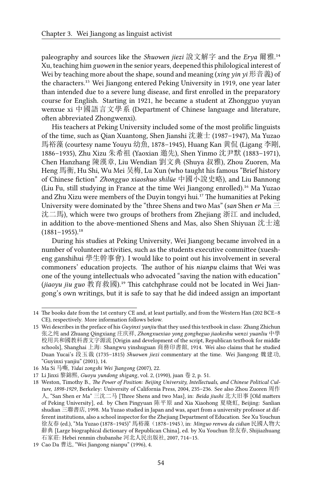paleography and sources like the *Shuowen jiezi* 說文解字 and the *Erya* 爾雅.<sup>14</sup> Xu, teaching him *guowen* in the senior years, deepened this philological interest of Wei by teaching more about the shape, sound and meaning (*xing yin yi* 形音義) of the characters.<sup>15</sup> Wei Jiangong entered Peking University in 1919, one year later than intended due to a severe lung disease, and first enrolled in the preparatory course for English. Starting in 1921, he became a student at Zhongguo yuyan wenxue xi 中國語言文學系 (Department of Chinese language and literature, often abbreviated Zhongwenxi).

His teachers at Peking University included some of the most prolific linguists of the time, such as Qian Xuantong, Shen Jianshi 沈兼士 (1987–1947), Ma Yuzao 馬裕藻 (courtesy name Youyu 幼魚, 1878–1945), Huang Kan 黄侃 (Ligang 李剛, 1886–1935), Zhu Xizu 朱希祖 (Yaoxian 邀先), Shen Yinmo 沈尹默 (1883–1971), Chen Hanzhang 陳漢章, Liu Wendian 劉文典 (Shuya 叔雅), Zhou Zuoren, Ma Heng 馬衡, Hu Shi, Wu Mei 吴梅, Lu Xun (who taught his famous "Brief history of Chinese fiction" *Zhongguo xiaoshuo shilüe* 中國小說史略), and Liu Bannong (Liu Fu, still studying in France at the time Wei Jiangong enrolled).<sup>16</sup> Ma Yuzao and Zhu Xizu were members of the Duyin tongyi hui.<sup>17</sup> The humanities at Peking University were dominated by the "three Shens and two Mas" (*san* Shen *er* Ma 三 沈二馬), which were two groups of brothers from Zhejiang 浙江 and included, in addition to the above-mentioned Shens and Mas, also Shen Shiyuan 沈士遠  $(1881-1955).$ <sup>18</sup>

During his studies at Peking University, Wei Jiangong became involved in a number of volunteer activities, such as the students executive committee (xuesheng ganshihui 學生幹事會). I would like to point out his involvement in several commoners' education projects. The author of his *nianpu* claims that Wei was one of the young intellectuals who advocated "saving the nation with education" (*jiaoyu jiu guo* 教育救國).<sup>19</sup> This catchphrase could not be located in Wei Jiangong's own writings, but it is safe to say that he did indeed assign an important

<sup>14</sup> The books date from the 1st century CE and, at least partially, and from the Western Han (202 BCE–8 CE), respectively. More information follows below.

<sup>15</sup> Wei describes in the preface of his *Guyinxi yanjiu* that they used this textbook in class: Zhang Zhichun 张之纯 and Zhuang Qingxiang 庄庆祥, *Zhongxuexiao yong gongheguo jiaokeshu wenzi yuanliu* 中學 校用共和國教科書文字源流 [Origin and development of the script, Republican textbook for middle schools], Shanghai 上海: Shangwu yinshuguan 商務印書館, 1914. Wei also claims that he studied Duan Yucai's 段玉裁 (1735–1815) *Shuowen jiezi* commentary at the time. Wei Jiangong 魏建功, "Guyinxi yanjiu" (2001), 14.

<sup>16</sup> Ma Si 马嘶, *Yidai zongshi Wei Jiangong* (2007), 22.

<sup>17</sup> Li Jinxi 黎錦熙, *Guoyu yundong shigang*, vol. 2, (1990), juan 卷 2, p. 51.

<sup>18</sup> Weston, Timothy B., *The Power of Position: Beijing University, Intellectuals, and Chinese Political Culture, 1898-1929*, Berkeley: University of California Press, 2004, 235–236. See also Zhou Zuoren 周作 人, "San Shen er Ma" 三沈二马 [Three Shens and two Mas], in: *Beida jiushi* 北大旧事 [Old matters of Peking University], ed. by Chen Pingyuan 陈平原 and Xia Xiaohong 夏晓虹, Beijing: Sanlian shudian 三聯書店, 1998. Ma Yuzao studied in Japan and was, apart from a university professor at different institutions, also a school inspector for the Zhejiang Department of Education. See Xu Youchun 徐友春 (ed.), "Ma Yuzao (1878–1945)" 馬裕藻(1878–1945), in: *Minguo renwu da cidian* 民國人物大 辭典 [Large biographical dictionary of Republican China], ed. by Xu Youchun 徐友春, Shijiazhuang 石家莊: Hebei renmin chubanshe 河北人民出版社, 2007, 714–15.

<sup>19</sup> Cao Da 曹达, "Wei Jiangong nianpu" (1996), 4.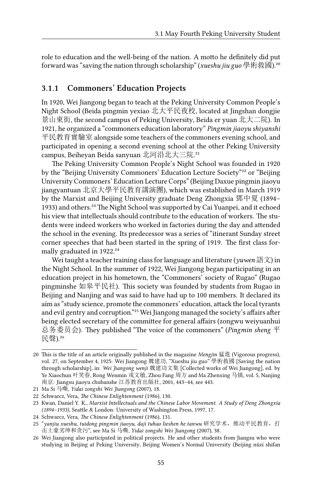role to education and the well-being of the nation. A motto he definitely did put forward was "saving the nation through scholarship" (*xueshu jiu guo* 學術救國).²⁰

#### **3.1.1 Commoners' Education Projects**

In 1920, Wei Jiangong began to teach at the Peking University Common People's Night School (Beida pingmin yexiao 北大平民夜校, located at Jingshan dongjie 景山東街, the second campus of Peking University, Beida er yuan 北大二院). In 1921, he organized a "commoners education laboratory" *Pingmin jiaoyu shiyanshi* 平民教育實驗室 alongside some teachers of the commoners evening school, and participated in opening a second evening school at the other Peking University campus, Beiheyan Beida sanyuan 北河沿北大三院.<sup>21</sup>

The Peking University Common People's Night School was founded in 1920 by the "Beijing University Commoners' Education Lecture Society"<sup>22</sup> or "Beijing University Commoners' Education Lecture Corps" (Beijing Daxue pingmin jiaoyu jiangyantuan 北京大學平民教育講演團), which was established in March 1919 by the Marxist and Beijing University graduate Deng Zhongxia 鄧中夏 (1894– 1933) and others.²³ The Night School was supported by Cai Yuanpei, and it echoed his view that intellectuals should contribute to the education of workers. The students were indeed workers who worked in factories during the day and attended the school in the evening. Its predecessor was a series of "itinerant Sunday street corner speeches that had been started in the spring of 1919. The first class formally graduated in 1922.<sup>24</sup>

Wei taught a teacher training class for language and literature (*yuwen* 語文) in the Night School. In the summer of 1922, Wei Jiangong began participating in an education project in his hometown, the "Commoners' society of Rugao" (Rugao pingminshe 如皋平民社). This society was founded by students from Rugao in Beijing and Nanjing and was said to have had up to 100 members. It declared its aim as "study science, promote the commoners' education, attack the local tyrants and evil gentry and corruption."<sup>25</sup> Wei Jiangong managed the society's affairs after being elected secretary of the committee for general affairs (zongwu weiyuanhui 总务委员会). They published "The voice of the commoners" (*Pingmin sheng* 平 民聲).26

<sup>20</sup> This is the title of an article originally published in the magazine *Mengjin* 猛進 (Vigorous progress), vol. 27, on September 4, 1925: Wei Jiangong 魏建功, "Xueshu jiu guo" 學術救國 [Saving the nation through scholarship], in: *Wei Jiangong wenji* 魏建功文集 [Collected works of Wei Jiangong], ed. by Ye Xiaochun 叶笑春, Rong Wenmin 戎文敏, Zhou Fang 周方 and Ma Zhenxing 马镇, vol. 5, Nanjing 南京: Jiangsu jiaoyu chubanshe 江苏教育出版社, 2001, 443–44, see 443.

<sup>21</sup> Ma Si 马嘶, *Yidai zongshi Wei Jiangong* (2007), 18.

<sup>22</sup> Schwarcz, Vera, *The Chinese Enlightenment* (1986), 130.

<sup>23</sup> Kwan, Daniel Y. K., *Marxist Intellectuals and the Chinese Labor Movement. A Study of Deng Zhongxia (1894–1933)*, Seattle & London: University of Washington Press, 1997, 17.

<sup>24</sup> Schwarcz, Vera, *The Chinese Enlightenment* (1986), 131.

<sup>25 &</sup>quot;*yanjiu xueshu, tuidong pingmin jiaoyu, daji tuhao lieshen he tanwu* 研究学术,推动平民教育,打 击土豪劣绅和贪污", see Ma Si 马嘶, *Yidai zongshi Wei Jiangong* (2007), 38.

<sup>26</sup> Wei Jiangong also participated in political projects. He and other students from Jiangsu who were studying in Beijing at Peking University, Beijing Women's Normal University (Beijing nüzi shifan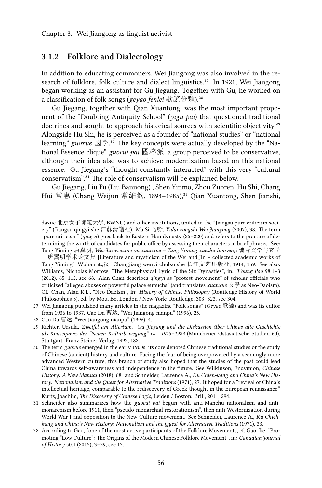#### **3.1.2 Folklore and Dialectology**

In addition to educating commoners, Wei Jiangong was also involved in the research of folklore, folk culture and dialect linguistics.<sup>27</sup> In 1921, Wei Jiangong began working as an assistant for Gu Jiegang. Together with Gu, he worked on a classification of folk songs (*geyao fenlei* 歌謠分類).<sup>28</sup>

Gu Jiegang, together with Qian Xuantong, was the most important proponent of the "Doubting Antiquity School" (*yigu pai*) that questioned traditional doctrines and sought to approach historical sources with scientific objectivity.<sup>29</sup> Alongside Hu Shi, he is perceived as a founder of "national studies" or "national learning" *guoxue* 國學.<sup>30</sup> The key concepts were actually developed by the "National Essence clique" *guocui pai* 國粹派, a group perceived to be conservative, although their idea also was to achieve modernization based on this national essence. Gu Jiegang's "thought constantly interacted" with this very "cultural conservatism".<sup>31</sup> The role of conservatism will be explained below.

Gu Jiegang, Liu Fu (Liu Bannong) , Shen Yinmo, Zhou Zuoren, Hu Shi, Chang Hui 常惠 (Chang Weijun 常維鈞, 1894-1985),<sup>32</sup> Qian Xuantong, Shen Jianshi,

daxue 北京女子師範大學, BWNU) and other institutions, united in the "Jiangsu pure criticism society" (Jiangsu qingyi she 江蘇清議社). Ma Si 马嘶, *Yidai zongshi Wei Jiangong* (2007), 38. The term "pure criticism" (*qingyi*) goes back to Eastern Han dynasty (25–220) and refers to the practice of determining the worth of candidates for public office by assessing their characters in brief phrases. See: Tang Yiming 唐翼明, *Wei-Jin wenxue yu xuanxue – Tang Yiming xueshu lunwenji* 魏晋文学与玄学 —唐翼明学术论文集 [Literature and mysticism of the Wei and Jin – collected academic works of Tang Yiming], Wuhan 武汉: Changjiang wenyi chubanshe 长江文艺出版社, 1914, 159. See also: Williams, Nicholas Morrow, "The Metaphysical Lyric of the Six Dynasties", in: *T'oung Pao* 98.1–3 (2012), 65–112, see 68. Alan Chan describes *qingyi* as "protest movement" of scholar-officials who criticized "alleged abuses of powerful palace eunuchs" (and translates *xuanxue* 玄學 as Neo-Daoism). Cf. Chan, Alan K.L., "Neo-Daoism", in: *History of Chinese Philosophy* (Routledge History of World Philosophies 3), ed. by Mou, Bo, London / New York: Routledge, 303–323, see 304.

<sup>27</sup> Wei Jiangong published many articles in the magazine "Folk songs" (*Geyao* 歌謠) and was its editor from 1936 to 1937. Cao Da 曹达, "Wei Jiangong nianpu" (1996), 25.

<sup>28</sup> Cao Da 曹达, "Wei Jiangong nianpu" (1996), 4.

<sup>29</sup> Richter, Ursula, *Zweifel am Altertum. Gu Jiegang und die Diskussion über Chinas alte Geschichte als Konsequenz der "Neuen Kulturbewegung" ca. 1915–1923* (Münchener Ostasiatische Studien 60), Stuttgart: Franz Steiner Verlag, 1992, 182.

<sup>30</sup> The term *guoxue* emerged in the early 1900s; its core denoted Chinese traditional studies or the study of Chinese (ancient) history and culture. Facing the fear of being overpowered by a seemingly more advanced Western culture, this branch of study also hoped that the studies of the past could lead China towards self-awareness and independence in the future. See Wilkinson, Endymion, *Chinese History: A New Manual* (2018), 68. and Schneider, Laurence A., *Ku Chieh-kang and China's New History: Nationalism and the Quest for Alternative Traditions* (1971), 27. It hoped for a "revival of China's intellectual heritage, comparable to the rediscovery of Greek thought in the European renaissance." Kurtz, Joachim, *The Discovery of Chinese Logic*, Leiden / Boston: Brill, 2011, 294.

<sup>31</sup> Schneider also summarizes how the *guocui pai* begun with anti-Manchu nationalism and antimonarchism before 1911, then "pseudo-monarchial restorationism", then anti-Westernization during World War I and opposition to the New Culture movement. See Schneider, Laurence A., *Ku Chiehkang and China's New History: Nationalism and the Quest for Alternative Traditions* (1971), 33.

<sup>32</sup> According to Gao, "one of the most active participants of the Folklore Movements, cf. Gao, Jie, "Promoting "Low Culture": The Origins of the Modern Chinese Folklore Movement", in: *Canadian Journal of History* 50.1 (2015), 3–29, see 13.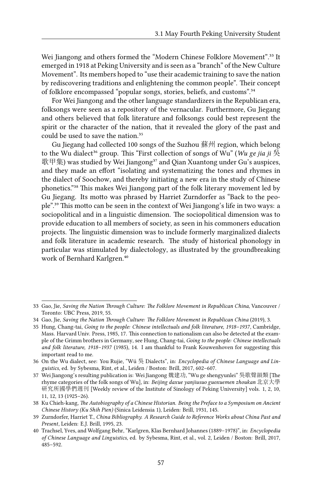Wei Jiangong and others formed the "Modern Chinese Folklore Movement".<sup>33</sup> It emerged in 1918 at Peking University and is seen as a "branch" of the New Culture Movement". Its members hoped to "use their academic training to save the nation by rediscovering traditions and enlightening the common people". Their concept of folklore encompassed "popular songs, stories, beliefs, and customs".<sup>34</sup>

For Wei Jiangong and the other language standardizers in the Republican era, folksongs were seen as a repository of the vernacular. Furthermore, Gu Jiegang and others believed that folk literature and folksongs could best represent the spirit or the character of the nation, that it revealed the glory of the past and could be used to save the nation.<sup>35</sup>

Gu Jiegang had collected 100 songs of the Suzhou 蘇州 region, which belong to the Wu dialect<sup>36</sup> group. This "First collection of songs of Wu" (*Wu ge jia ji* 吳 歌甲集) was studied by Wei Jiangong<sup>37</sup> and Qian Xuantong under Gu's auspices, and they made an effort "isolating and systematizing the tones and rhymes in the dialect of Soochow, and thereby initiating a new era in the study of Chinese phonetics."³⁸ This makes Wei Jiangong part of the folk literary movement led by Gu Jiegang. Its motto was phrased by Harriet Zurndorfer as "Back to the people".<sup>39</sup> This motto can be seen in the context of Wei Jiangong's life in two ways: a sociopolitical and in a linguistic dimension. The sociopolitical dimension was to provide education to all members of society, as seen in his commoners education projects. The linguistic dimension was to include formerly marginalized dialects and folk literature in academic research. The study of historical phonology in particular was stimulated by dialectology, as illustrated by the groundbreaking work of Bernhard Karlgren.<sup>40</sup>

<sup>33</sup> Gao, Jie, *Saving the Nation Through Culture: The Folklore Movement in Republican China*, Vancouver / Toronto: UBC Press, 2019, 55.

<sup>34</sup> Gao, Jie, *Saving the Nation Through Culture: The Folklore Movement in Republican China* (2019), 3.

<sup>35</sup> Hung, Chang-tai, *Going to the people: Chinese intellectuals and folk literature, 1918–1937*, Cambridge, Mass. Harvard Univ. Press, 1985, 17. This connection to nationalism can also be detected at the example of the Grimm brothers in Germany, see Hung, Chang-tai, *Going to the people: Chinese intellectuals and folk literature, 1918–1937* (1985), 14. I am thankful to Frank Kouwenhoven for suggesting this important read to me.

<sup>36</sup> On the Wu dialect, see: You Rujie, "Wú 吳 Dialects", in: *Encyclopedia of Chinese Language and Linguistics*, ed. by Sybesma, Rint, et al., Leiden / Boston: Brill, 2017, 602–607.

<sup>37</sup> Wei Jiangong's resulting publication is: Wei Jiangong 魏建功, "Wu ge shengyunlei" 吳歌聲韻類 [The rhyme categories of the folk songs of Wu], in: *Beijing daxue yanjiusuo guoxuemen zhoukan* 北京大學 研究所國學們週刊 [Weekly review of the Institute of Sinology of Peking University] vols. 1, 2, 10, 11, 12, 13 (1925–26).

<sup>38</sup> Ku Chieh-kang, *The Autobiography of a Chinese Historian. Being the Preface to a Symposium on Ancient Chinese History (Ku Shih Pien)* (Sinica Leidensia 1), Leiden: Brill, 1931, 145.

<sup>39</sup> Zurndorfer, Harriet T., *China Bibliography. A Research Guide to Reference Works about China Past and Present*, Leiden: E.J. Brill, 1995, 23.

<sup>40</sup> Trachsel, Yves, and Wolfgang Behr, "Karlgren, Klas Bernhard Johannes (1889–1978)", in: *Encyclopedia of Chinese Language and Linguistics*, ed. by Sybesma, Rint, et al., vol. 2, Leiden / Boston: Brill, 2017, 485–592.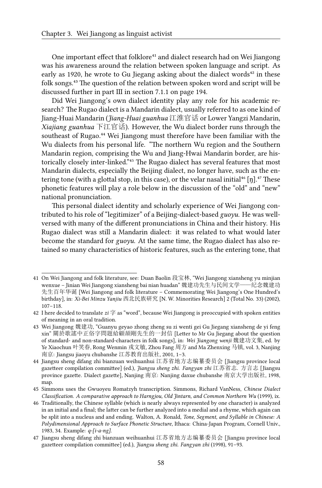One important effect that folklore<sup>41</sup> and dialect research had on Wei Jiangong was his awareness around the relation between spoken language and script. As early as 1920, he wrote to Gu Jiegang asking about the dialect words<sup>42</sup> in these folk songs.<sup>43</sup> The question of the relation between spoken word and script will be discussed further in part III in section 7.1.1 on page 194.

Did Wei Jiangong's own dialect identity play any role for his academic research? The Rugao dialect is a Mandarin dialect, usually referred to as one kind of Jiang-Huai Mandarin (*Jiang-Huai guanhua* 江淮官话 or Lower Yangzi Mandarin, *Xiajiang guanhua* 下江官话). However, the Wu dialect border runs through the southeast of Rugao.<sup>44</sup> Wei Jiangong must therefore have been familiar with the Wu dialects from his personal life. "The northern Wu region and the Southern Mandarin region, comprising the Wu and Jiang-Hwai Mandarin border, are historically closely inter-linked."<sup>45</sup> The Rugao dialect has several features that most Mandarin dialects, especially the Beijing dialect, no longer have, such as the entering tone (with a glottal stop, in this case), or the velar nasal initial<sup>46</sup> [n].<sup>47</sup> These phonetic features will play a role below in the discussion of the "old" and "new" national pronunciation.

This personal dialect identity and scholarly experience of Wei Jiangong contributed to his role of "legitimizer" of a Beijing-dialect-based *guoyu*. He was wellversed with many of the different pronunciations in China and their history. His Rugao dialect was still a Mandarin dialect: it was related to what would later become the standard for *guoyu*. At the same time, the Rugao dialect has also retained so many characteristics of historic features, such as the entering tone, that

<sup>41</sup> On Wei Jiangong and folk literature, see: Duan Baolin 段宝林, "Wei Jiangong xiansheng yu minjian wenxue – Jinian Wei Jiangong xiansheng bai nian huadan" 魏建功先生与民间文学——纪念魏建功 先生百年华诞 [Wei Jiangong and folk literature – Commemorating Wei Jiangong's One Hundred's birthday], in: *Xi-Bei Minzu Yanjiu* 西北民族研究 [N. W. Minorities Research] 2 (Total No. 33) (2002), 107–118.

<sup>42</sup> I here decided to translate *zi* 字 as "word", because Wei Jiangong is preoccupied with spoken entities of meaning in an oral tradition.

<sup>43</sup> Wei Jiangong 魏建功, "Guanyu geyao zhong zheng su zi wenti gei Gu Jiegang xiansheng de yi feng xin" 關於歌謠中正俗字問題給顧頡剛先生的一封信 [Letter to Mr Gu Jiegang about the question of standard- and non-standard-characters in folk songs], in: *Wei Jiangong wenji* 魏建功文集, ed. by Ye Xiaochun 叶笑春, Rong Wenmin 戎文敏, Zhou Fang 周方 and Ma Zhenxing 马镇, vol. 3, Nanjing 南京: Jiangsu jiaoyu chubanshe 江苏教育出版社, 2001, 1–3.

<sup>44</sup> Jiangsu sheng difang zhi bianzuan weihuanhui 江苏省地方志编纂委员会 [Jiangsu province local gazetteer compilation committee] (ed.), *Jiangsu sheng zhi. Fangyan zhi* 江苏省志. 方言志 [Jiangsu province gazette. Dialect gazette], Nanjing 南京: Nanjing daxue chubanshe 南京大学出版社, 1998, map.

<sup>45</sup> Simmons uses the Gwuoyeu Romatzyh transcription. Simmons, Richard VanNess, *Chinese Dialect Classification. A comparative approach to Harngjou, Old Jintarn, and Common Northern Wu* (1999), ix.

<sup>46</sup> Traditionally, the Chinese syllable (which is nearly always represented by one character) is analyzed in an initial and a final; the latter can be further analyzed into a medial and a rhyme, which again can be split into a nucleus and and ending. Walton, A. Ronald, *Tone, Segment, and Syllable in Chinese: A Polydimensional Approach to Surface Phonetic Structure*, Ithaca: China-Japan Program, Cornell Univ., 1983, 34. Example: *q-[i-a-ng]*.

<sup>47</sup> Jiangsu sheng difang zhi bianzuan weihuanhui 江苏省地方志编纂委员会 [Jiangsu province local gazetteer compilation committee] (ed.), *Jiangsu sheng zhi. Fangyan zhi* (1998), 91–93.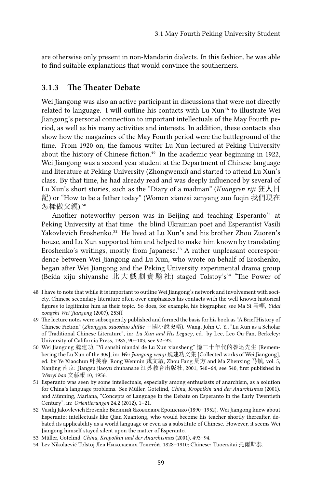are otherwise only present in non-Mandarin dialects. In this fashion, he was able to find suitable explanations that would convince the southerners.

#### **3.1.3 The Theater Debate**

Wei Jiangong was also an active participant in discussions that were not directly related to language. I will outline his contacts with Lu Xun<sup>48</sup> to illustrate Wei Jiangong's personal connection to important intellectuals of the May Fourth period, as well as his many activities and interests. In addition, these contacts also show how the magazines of the May Fourth period were the battleground of the time. From 1920 on, the famous writer Lu Xun lectured at Peking University about the history of Chinese fiction.<sup>49</sup> In the academic year beginning in 1922, Wei Jiangong was a second year student at the Department of Chinese language and literature at Peking University (Zhongwenxi) and started to attend Lu Xun's class. By that time, he had already read and was deeply influenced by several of Lu Xun's short stories, such as the "Diary of a madman" (*Kuangren riji* 狂人日 記) or "How to be a father today" (Women xianzai zenyang zuo fuqin 我們現在 怎樣做父親).50

Another noteworthy person was in Beijing and teaching Esperanto<sup>51</sup> at Peking University at that time: the blind Ukrainian poet and Esperantist Vasili Yakovlevich Eroshenko.<sup>52</sup> He lived at Lu Xun's and his brother Zhou Zuoren's house, and Lu Xun supported him and helped to make him known by translating Eroshenko's writings, mostly from Japanese.<sup>53</sup> A rather unpleasant correspondence between Wei Jiangong and Lu Xun, who wrote on behalf of Eroshenko, began after Wei Jiangong and the Peking University experimental drama group (Beida xiju shiyanshe 北大戲劇實驗社) staged Tolstoy's<sup>54</sup> "The Power of

<sup>48</sup> I have to note that while it is important to outline Wei Jiangong's network and involvement with society, Chinese secondary literature often over-emphasizes his contacts with the well-known historical figures to legitimize him as their topic. So does, for example, his biographer, see Ma Si 马嘶, *Yidai zongshi Wei Jiangong* (2007), 253ff.

<sup>49</sup> The lecture notes were subsequently published and formed the basis for his book as "A Brief History of Chinese Fiction" (*Zhongguo xiaoshuo shilüe* 中國小說史略). Wang, John C. Y., "Lu Xun as a Scholar of Traditional Chinese Literature", in: *Lu Xun and His Legacy*, ed. by Lee, Leo Ou-Fan, Berkeley: University of California Press, 1985, 90–103, see 92–93.

<sup>50</sup> Wei Jiangong 魏建功, "Yi sanshi niandai de Lu Xun xiansheng" 憶三十年代的魯迅先生 [Remembering the Lu Xun of the 30s], in: *Wei Jiangong wenji* 魏建功文集 [Collected works of Wei Jiangong], ed. by Ye Xiaochun 叶笑春, Rong Wenmin 戎文敏, Zhou Fang 周方 and Ma Zhenxing 马镇, vol. 5, Nanjing 南京: Jiangsu jiaoyu chubanshe 江苏教育出版社, 2001, 540–64, see 540, first published in *Wenyi bao* 文藝報 10, 1956.

<sup>51</sup> Esperanto was seen by some intellectuals, especially among enthusiasts of anarchism, as a solution for China's language problems. See Müller, Gotelind, *China, Kropotkin und der Anarchismus* (2001). and Münning, Mariana, "Concepts of Language in the Debate on Esperanto in the Early Twentieth Century", in: *Orientierungen* 24.2 (2012), 1–21.

<sup>52</sup> Vasilij Jakovlevich Eroŝenko Василий Яковлевич Ерошенко (1890–1952). Wei Jiangong knew about Esperanto; intellectuals like Qian Xuantong, who would become his teacher shortly thereafter, debated its applicability as a world language or even as a substitute of Chinese. However, it seems Wei Jiangong himself stayed silent upon the matter of Esperanto.

<sup>53</sup> Müller, Gotelind, *China, Kropotkin und der Anarchismus* (2001), 493–94.

<sup>54</sup> Lev Nikolaevič Tolstoj Лев Николаевич Толсто́й, 1828–1910; Chinese: Tuoersitai 托爾斯泰.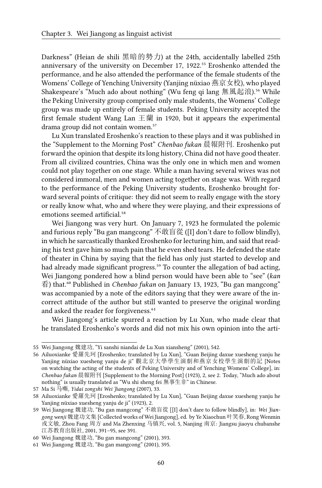Darkness" (Heian de shili 黑暗的勢力) at the 24th, accidentally labelled 25th anniversary of the university on December 17, 1922.<sup>55</sup> Eroshenko attended the performance, and he also attended the performance of the female students of the Womens' College of Yenching University (Yanjing nüxiao 燕京女校), who played Shakespeare's "Much ado about nothing" (Wu feng qi lang 無風起浪).<sup>56</sup> While the Peking University group comprised only male students, the Womens' College group was made up entirely of female students. Peking University accepted the first female student Wang Lan  $\pm \frac{2}{3}$  in 1920, but it appears the experimental drama group did not contain women.<sup>57</sup>

Lu Xun translated Eroshenko's reaction to these plays and it was published in the "Supplement to the Morning Post" *Chenbao fukan* 晨報附刊. Eroshenko put forward the opinion that despite its long history, China did not have good theater. From all civilized countries, China was the only one in which men and women could not play together on one stage. While a man having several wives was not considered immoral, men and women acting together on stage was. With regard to the performance of the Peking University students, Eroshenko brought forward several points of critique: they did not seem to really engage with the story or really know what, who and where they were playing, and their expressions of emotions seemed artificial.<sup>58</sup>

Wei Jiangong was very hurt. On January 7, 1923 he formulated the polemic and furious reply "Bu gan mangcong" 不敢盲從 ([I] don't dare to follow blindly), in which he sarcastically thanked Eroshenko for lecturing him, and said that reading his text gave him so much pain that he even shed tears. He defended the state of theater in China by saying that the field has only just started to develop and had already made significant progress.<sup>59</sup> To counter the allegation of bad acting, Wei Jiangong pondered how a blind person would have been able to "see" (*kan* 看) that.⁶⁰ Published in *Chenbao fukan* on January 13, 1923, "Bu gan mangcong" was accompanied by a note of the editors saying that they were aware of the incorrect attitude of the author but still wanted to preserve the original wording and asked the reader for forgiveness.<sup>61</sup>

Wei Jiangong's article spurred a reaction by Lu Xun, who made clear that he translated Eroshenko's words and did not mix his own opinion into the arti-

<sup>55</sup> Wei Jiangong 魏建功, "Yi sanshi niandai de Lu Xun xiansheng" (2001), 542.

<sup>56</sup> Ailuoxianke 愛羅先珂 [Eroshenko; translated by Lu Xun], "Guan Beijing daxue xuesheng yanju he Yanjing nüxiao xuesheng yanju de ji" 觀北京大學學生演劇和燕京女校學生演劇的記 [Notes on watching the acting of the students of Peking University and of Yenching Womens' College], in: *Chenbao fukan* 晨報附刊 [Supplement to the Morning Post] (1923), 2, see 2. Today, "Much ado about nothing" is usually translated as "Wu shi sheng fei 無事生非" in Chinese.

<sup>57</sup> Ma Si 马嘶, *Yidai zongshi Wei Jiangong* (2007), 33.

<sup>58</sup> Ailuoxianke 愛羅先珂 [Eroshenko; translated by Lu Xun], "Guan Beijing daxue xuesheng yanju he Yanjing nüxiao xuesheng yanju de ji" (1923), 2.

<sup>59</sup> Wei Jiangong 魏建功, "Bu gan mangcong" 不敢盲從 [[I] don't dare to follow blindly], in: *Wei Jiangong wenji* 魏建功文集 [Collected works of Wei Jiangong], ed. by Ye Xiaochun 叶笑春, Rong Wenmin 戎文敏, Zhou Fang 周方 and Ma Zhenxing 马镇兴, vol. 5, Nanjing 南京: Jiangsu jiaoyu chubanshe 江苏教育出版社, 2001, 391–95, see 391.

<sup>60</sup> Wei Jiangong 魏建功, "Bu gan mangcong" (2001), 393.

<sup>61</sup> Wei Jiangong 魏建功, "Bu gan mangcong" (2001), 395.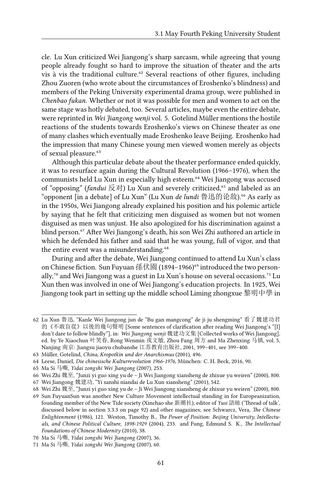cle. Lu Xun criticized Wei Jiangong's sharp sarcasm, while agreeing that young people already fought so hard to improve the situation of theater and the arts vis à vis the traditional culture.<sup>62</sup> Several reactions of other figures, including Zhou Zuoren (who wrote about the circumstances of Eroshenko's blindness) and members of the Peking University experimental drama group, were published in *Chenbao fukan*. Whether or not it was possible for men and women to act on the same stage was hotly debated, too. Several articles, maybe even the entire debate, were reprinted in *Wei Jiangong wenji* vol. 5. Gotelind Müller mentions the hostile reactions of the students towards Eroshenko's views on Chinese theater as one of many clashes which eventually made Eroshenko leave Beijing. Eroshenko had the impression that many Chinese young men viewed women merely as objects of sexual pleasure.<sup>63</sup>

Although this particular debate about the theater performance ended quickly, it was to resurface again during the Cultural Revolution (1966–1976), when the communists held Lu Xun in especially high esteem.<sup>64</sup> Wei Jiangong was accused of "opposing" (*fandui* 反对) Lu Xun and severely criticized,<sup>65</sup> and labeled as an "opponent [in a debate] of Lu Xun" (Lu Xun *de lundi* 鲁迅的论敌).⁶⁶ As early as in the 1950s, Wei Jiangong already explained his position and his polemic article by saying that he felt that criticizing men disguised as women but not women disguised as men was unjust. He also apologized for his discrimination against a blind person.⁶⁷ After Wei Jiangong's death, his son Wei Zhi authored an article in which he defended his father and said that he was young, full of vigor, and that the entire event was a misunderstanding.<sup>68</sup>

During and after the debate, Wei Jiangong continued to attend Lu Xun's class on Chinese fiction. Sun Fuyuan 孫伏園 (1894–1966)<sup>69</sup> introduced the two personally,<sup> $70$ </sup> and Wei Jiangong was a guest in Lu Xun's house on several occasions.<sup> $71$ </sup> Lu Xun then was involved in one of Wei Jiangong's education projects. In 1925, Wei Jiangong took part in setting up the middle school Liming zhongxue 黎明中學 in

<sup>62</sup> Lu Xun 魯迅, "Kanle Wei Jiangong jun de "Bu gan mangcong" de ji ju shengming" 看了魏建功君 的《不敢盲從》以後的幾句聲明 [Some sentences of clarification after reading Wei Jiangong's "[I] don't dare to follow blindly"], in: *Wei Jiangong wenji* 魏建功文集 [Collected works of Wei Jiangong], ed. by Ye Xiaochun 叶笑春, Rong Wenmin 戎文敏, Zhou Fang 周方 and Ma Zhenxing 马镇, vol. 5, Nanjing 南京: Jiangsu jiaoyu chubanshe 江苏教育出版社, 2001, 399–401, see 399–400.

<sup>63</sup> Müller, Gotelind, *China, Kropotkin und der Anarchismus* (2001), 496.

<sup>64</sup> Leese, Daniel, *Die chinesische Kulturrevolution 1966-1976*, München: C. H. Beck, 2016, 90.

<sup>65</sup> Ma Si 马嘶, *Yidai zongshi Wei Jiangong* (2007), 253.

<sup>66</sup> Wei Zhi 魏至, "Junzi yi guo xing yu de – Ji Wei Jiangong xiansheng de zhixue yu weiren" (2000), 800.

<sup>67</sup> Wei Jiangong 魏建功, "Yi sanshi niandai de Lu Xun xiansheng" (2001), 542.

<sup>68</sup> Wei Zhi 魏至, "Junzi yi guo xing yu de – Ji Wei Jiangong xiansheng de zhixue yu weiren" (2000), 800.

<sup>69</sup> Sun FuyuanSun was another New Culture Movement intellectual standing in for Europeanization, founding member of the New Tide society (Xinchao she 新潮社), editor of *Yusi* 語絲 ('Thread of talk', discussed below in section 3.3.3 on page 92) and other magazines; see Schwarcz, Vera, *The Chinese Enlightenment* (1986), 121. Weston, Timothy B., *The Power of Position: Beijing University, Intellectuals, and Chinese Political Culture, 1898-1929* (2004), 233. and Fung, Edmund S. K., *The Intellectual Foundations of Chinese Modernity* (2010), 38.

<sup>70</sup> Ma Si 马嘶, *Yidai zongshi Wei Jiangong* (2007), 36.

<sup>71</sup> Ma Si 马嘶, *Yidai zongshi Wei Jiangong* (2007), 60.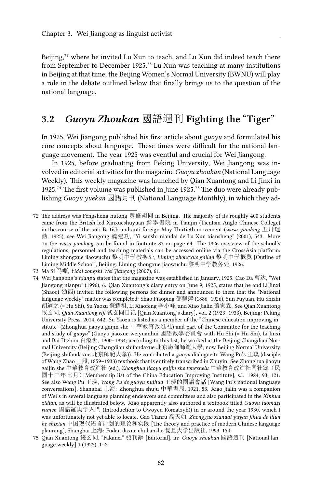Beijing, $72$  where he invited Lu Xun to teach, and Lu Xun did indeed teach there from September to December 1925.<sup>73</sup> Lu Xun was teaching at many institutions in Beijing at that time; the Beijing Women's Normal University (BWNU) will play a role in the debate outlined below that finally brings us to the question of the national language.

# **3.2** *Guoyu Zhoukan* 國語週刊 **Fighting the "Tiger"**

In 1925, Wei Jiangong published his first article about *guoyu* and formulated his core concepts about language. These times were difficult for the national language movement. The year 1925 was eventful and crucial for Wei Jiangong.

In 1925, before graduating from Peking University, Wei Jiangong was involved in editorial activities for the magazine *Guoyu zhoukan* (National Language Weekly). This weekly magazine was launched by Qian Xuantong and Li Jinxi in 1925. $74$  The first volume was published in June 1925. $75$  The duo were already publishing *Guoyu yuekan* 國語月刊 (National Language Monthly), in which they ad-

<sup>72</sup> The address was Fengsheng hutong 豐盛胡同 in Beijing. The majority of its roughly 400 students came from the British-led Xinxueshuyuan 新學書院 in Tianjin (Tientsin Anglo-Chinese College) in the course of the anti-British and anti-foreign May Thirtieth movement (*wusa yundong* 五卅運 動, 1925), see Wei Jiangong 魏建功, "Yi sanshi niandai de Lu Xun xiansheng" (2001), 543. More on the *wusa yundong* can be found in footnote 87 on page 64. The 1926 overview of the school's regulations, personnel and teaching materials can be accessed online via the CrossAsia platform: Liming zhongxue jiaowuchu 黎明中学教务处, *Liming zhongxue gailan* 黎明中学概览 [Outline of Liming Middle School], Beijing: Liming zhongxue jiaowuchu 黎明中学教务处, 1926.

<sup>73</sup> Ma Si 马嘶, *Yidai zongshi Wei Jiangong* (2007), 61.

<sup>74</sup> Wei Jiangong's *nianpu* states that the magazine was established in January, 1925. Cao Da 曹达, "Wei Jiangong nianpu" (1996), 6. Qian Xuantong's diary entry on June 9, 1925, states that he and Li Jinxi (Shaoqi 劭西) invited the following persons for dinner and announced to them that the "National language weekly" matter was completed: Shao Piaoping 邵飄萍 (1886–1926), Sun Fuyuan, Hu Shizhi 胡適之 (= Hu Shi), Su Yaozu 蘇耀祖, Li Xiaofeng 李小峰, and Xiao Jialin 萧家霖. See Qian Xuantong 钱玄同, *Qian Xuantong riji* 钱玄同日记 [Qian Xuantong's diary], vol. 2 (1923–1933), Beijing: Peking University Press, 2014, 642. Su Yaozu is listed as a member of the "Chinese education improving institute" (Zhonghua jiaoyu gaijin she 中華教育改進社) and part of the Committee for the teaching and study of *guoyu*" (Guoyu jiaoxue weiyuanhui 國語教學委員會 with Hu Shi (= Hu Shi), Li Jinxi and Bai Dizhou 白滌洲, 1900–1934; according to this list, he worked at the Beijing Changdian Normal University (Beijing Changdian shifandaxue 北京廠甸師範大學, now Beijing Normal University (Beijing shifandaxue 北京師範大學)). He contributed a *guoyu* dialogue to Wang Pu's 王璞 (disciple of Wang Zhao 王照, 1859–1933) textbook that is entirely transcribed in Zhuyin. See Zhonghua jiaoyu gaijin she 中華教育改進社 (ed.), *Zhonghua jiaoyu gaijin she tongshelu* 中華教育改進社同社錄(民 國十三年七月)[Membership list of the China Education Improving Institute], s.l. 1924, 93, 121. See also Wang Pu 王璞, *Wang Pu de guoyu huihua* 王璞的國語會話 [Wang Pu's national language conversations], Shanghai 上海: Zhonghua shuju 中華書局, 1921, 53. Xiao Jialin was a companion of Wei's in several language planning endeavors and committees and also participated in the *Xinhua zidian*, as will be illustrated below. Xiao apparently also authored a textbook titled *Guoyu luomazi rumen* 國語羅馬字入門 (Introduction to Gwoyeu Romatzyh)) in or around the year 1930, which I was unfortunately not yet able to locate. Gao Tianru 高天如, *Zhongguo xiandai yuyan jihua de lilun he shixian* 中国现代语言计划的理论和实践 [The theory and practice of modern Chinese language planning], Shanghai 上海: Fudan daxue chubanshe 复旦大学出版社, 1993, 154.

<sup>75</sup> Qian Xuantong 錢玄同, "Fakanci" 發刊辭 [Editorial], in: *Guoyu zhoukan* 國語週刊 [National language weekly] 1 (1925), 1–2.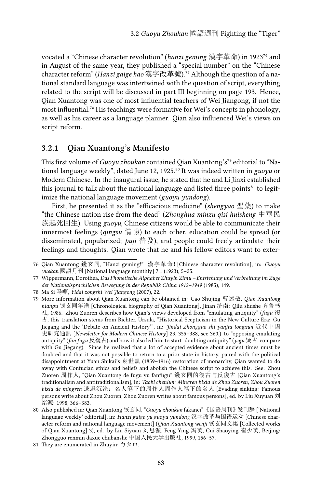vocated a "Chinese character revolution" (*hanzi geming* 漢字革命) in 1923<sup>76</sup> and in August of the same year, they published a "special number" on the "Chinese character reform" (*Hanzi gaige hao* 漢字改革號).⁷⁷ Although the question of a national standard language was intertwined with the question of script, everything related to the script will be discussed in part III beginning on page 193. Hence, Qian Xuantong was one of most influential teachers of Wei Jiangong, if not the most influential.<sup>78</sup> His teachings were formative for Wei's concepts in phonology, as well as his career as a language planner. Qian also influenced Wei's views on script reform.

#### **3.2.1 Qian Xuantong's Manifesto**

This first volume of *Guoyu zhoukan* contained Qian Xuantong's<sup>79</sup> editorial to "National language weekly", dated June 12, 1925.<sup>80</sup> It was indeed written in *guoyu* or Modern Chinese. In the inaugural issue, he stated that he and Li Jinxi established this journal to talk about the national language and listed three points $^{81}$  to legitimize the national language movement (*guoyu yundong*).

First, he presented it as the "efficacious medicine" (*shengyao* 聖藥) to make "the Chinese nation rise from the dead" (*Zhonghua minzu qisi huisheng* 中華民 族起死回生). Using *guoyu*, Chinese citizens would be able to communicate their innermost feelings (*qingsu* 情愫) to each other, education could be spread (or disseminated, popularized; *puji* 普及), and people could freely articulate their feelings and thoughts. Qian wrote that he and his fellow editors want to exter-

<sup>76</sup> Qian Xuantong 錢玄同, "Hanzi geming!" 漢字革命![Chinese character revolution], in: *Guoyu yuekan* 國語月刊 [National language monthly] 7.1 (1923), 5–25.

<sup>77</sup> Wippermann, Dorothea, *Das Phonetische Alphabet Zhuyin Zimu – Entstehung und Verbreitung im Zuge der Nationalsprachlichen Bewegung in der Republik China 1912–1949* (1985), 149.

<sup>78</sup> Ma Si 马嘶, *Yidai zongshi Wei Jiangong* (2007), 22.

<sup>79</sup> More information about Qian Xuantong can be obtained in: Cao Shujing 曹述敬, *Qian Xuantong nianpu* 钱玄同年谱 [Chronological biography of Qian Xuantong], Jinan 济南: Qilu shushe 齐鲁书 社, 1986. Zhou Zuoren describes how Qian's views developed from "emulating antiquity" (*fugu* 復 古, this translation stems from Richter, Ursula, "Historical Scepticism in the New Culture Era: Gu Jiegang and the 'Debate on Ancient History'", in: *Jindai Zhongguo shi yanjiu tongxun* 近代中國 史研究通訊 [*Newsletter for Modern Chinese History*] 23, 355–388, see 360.) to "opposing emulating antiquity" (*fan fugu* 反復古) and how it also led him to start "doubting antiquity" (*yigu* 疑古, compare with Gu Jiegang). Since he realized that a lot of accepted evidence about ancient times must be doubted and that it was not possible to return to a prior state in history, paired with the political disappointment at Yuan Shikai's 袁世凱 (1859–1916) restoration of monarchy, Qian wanted to do away with Confucian ethics and beliefs and abolish the Chinese script to achieve this. See: Zhou Zuoren 周作人, "Qian Xuantong de fugu yu fanfugu" 錢玄同的復古与反復古 [Qian Xuantong's traditionalism and antitraditionalism], in: *Taobi chenlun: Mingren bixia de Zhou Zuoren, Zhou Zuoren bixia de mingren* 逃避沉沦:名人笔下的周作人周作人笔下的名人 [Evading sinking: Famous persons write about Zhou Zuoren, Zhou Zuoren writes about famous persons], ed. by Liu Xuyuan 刘 绪源: 1998, 366–383.

<sup>80</sup> Also published in: Qian Xuantong 钱玄同, "*Guoyu zhoukan* fakanci"《国语周刊》发刊辞 ['National language weekly' editorial], in: *Hanzi gaige yu guoyu yundong* 汉字改革与国语运动 [Chinese character reform and national language movement] (*Qian Xuantong wenji* 钱玄同文集 [Collected works of Qian Xuantong] 3), ed. by Liu Siyuan 刘思源, Feng Ying 冯英, Cui Shaoying 崔少英, Beijing: Zhongguo renmin daxue chubanshe 中国人民大学出版社, 1999, 156–57.

<sup>81</sup> They are enumerated in Zhuyin:  $\frac{1}{2} \times \pi$ .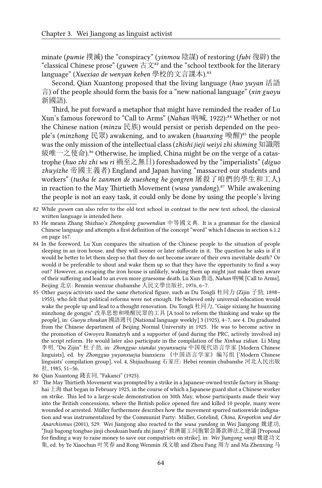minate (*pumie* 撲滅) the "conspiracy" (*yinmou* 陰謀) of restoring (*fubi* 復辟) the "classical Chinese prose" (*guwen* 古文⁸² and the "school textbook for the literary language" (*Xuexiao de wenyan keben* 學校的文言課本).<sup>33</sup>

Second, Qian Xuantong proposed that the living language (*huo yuyan* 活語 言) of the people should form the basis for a "new national language" (*xin guoyu* 新國語).

Third, he put forward a metaphor that might have reminded the reader of Lu Xun's famous foreword to "Call to Arms" (*Nahan* 吶喊, 1922):<sup>84</sup> Whether or not the Chinese nation (*minzu* 民族) would persist or perish depended on the people's (*minzhong* 民眾) awakening, and to awaken (*huanxing* 喚醒)<sup>85</sup> the people was the only mission of the intellectual class (*zhishi jieji weiyi zhi shiming* 知識階 級唯一之使命).<sup>86</sup> Otherwise, he implied, China might be on the verge of a catastrophe (*huo zhi zhi wu ri* 禍至之無日) foreshadowed by the "imperialists" (*diguo zhuyizhe* 帝國主義者) England and Japan having "massacred our students and workers" (*tusha le zanmen de xuesheng he gongren* 屠殺了咱們的學生和工人) in reaction to the May Thirtieth Movement (*wusa yundong*).<sup>87</sup> While awakening the people is not an easy task, it could only be done by using the people's living

- 83 He means Zhang Shizhao's *Zhongdeng guowendian* 中等國文典. It is a grammar for the classical Chinese language and attempts a first definition of the concept "word" which I discuss in section 6.1.2 on page 167.
- 84 In the foreword, Lu Xun compares the situation of the Chinese people to the situation of people sleeping in an iron house, and they will sooner or later suffocate in it. The question he asks is if it would be better to let them sleep so that they do not become aware of their own inevitable death? Or would it be preferable to shout and wake them up so that they have the opportunity to find a way out? However, as escaping the iron house is unlikely, waking them up might just make them aware of their suffering and lead to an even more gruesome death. Lu Xun 魯迅, *Nahan* 吶喊 [Call to Arms], Beijing 北京: Renmin wenxue chubanshe 人民文學出版社, 1976, 6–7.
- 85 Other *guoyu* activists used the same rhetorical figure, such as Du Tongli 杜同力 (Zijin 子勁, 1898– 1955), who felt that political reforms were not enough. He believed only universal education would wake the people up and lead to a thought renovation. Du Tongli 杜同力, "Gaige sixiang he huanxing minzhong de gongju" 改革思想和喚醒民眾的工具 [A tool to reform the thinking and wake up the people], in: *Guoyu zhoukan* 國語週刊 [National language weekly] 3 (1925), 4–7, see 4. Du graduated from the Chinese department of Beijing Normal University in 1925. He was to become active in the promotion of Gwoyeu Romatzyh and a supporter of (and during the PRC, actively involved in) the script reform. He would later also participate in the compilation of the *Xinhua zidian*. Li Ming 李明, "Du Zijin" 杜子劲, in: *Zhongguo xiandai yuyanxuejia* 中国现代语言学家 [Modern Chinese linguists], ed. by *Zhongguo yuyanxuejia* bianxiezu 《中国语言学家》编写组 ['Modern Chinese linguists' compilation group], vol. 4, Shijiazhuang 石家庄: Hebei renmin chubanshe 河北人民出版 社, 1985, 51–56.
- 86 Qian Xuantong 錢玄同, "Fakanci" (1925).
- 87 The May Thirtieth Movement was prompted by a strike in a Japanese-owned textile factory in Shanghai 上海 that began in February 1925, in the course of which a Japanese guard shot a Chinese worker on strike. This led to a large-scale demonstration on 30th May, whose participants made their way into the British concessions, where the British police opened fire and killed 10 people, many were wounded or arrested. Müller furthermore describes how the movement spurred nationwide indignation and was instrumentalized by the Communist Party: Müller, Gotelind, *China, Kropotkin und der Anarchismus* (2001), 529. Wei Jiangong also reacted to the *wusa yundong* in Wei Jiangong 魏建功, "Jiuji bagong tongbao jinji choukuan banfa zhi jianyi" 救濟罷工同胞緊急籌款辦法之建議 [Proposal for finding a way to raise money to save our compatriots on strike], in: *Wei Jiangong wenji* 魏建功文 集, ed. by Ye Xiaochun 叶笑春 and Rong Wenmin 戎文敏 and Zhou Fang 周方 and Ma Zhenxing 马

<sup>82</sup> While *guwen* can also refer to the old text school in contrast to the new text school, the classical written language is intended here.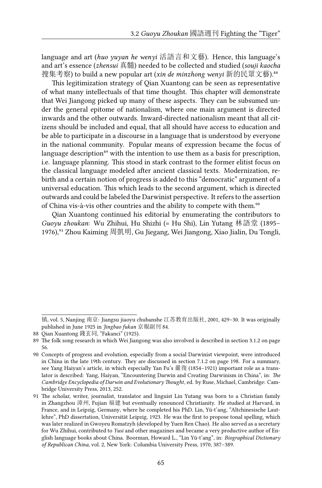language and art (*huo yuyan he wenyi* 活語言和文藝). Hence, this language's and art's essence (*zhensui* 真髓) needed to be collected and studied (*souji kaocha* 搜集考察) to build a new popular art (*xin de minzhong wenyi* 新的民眾文藝).<sup>88</sup>

This legitimization strategy of Qian Xuantong can be seen as representative of what many intellectuals of that time thought. This chapter will demonstrate that Wei Jiangong picked up many of these aspects. They can be subsumed under the general epitome of nationalism, where one main argument is directed inwards and the other outwards. Inward-directed nationalism meant that all citizens should be included and equal, that all should have access to education and be able to participate in a discourse in a language that is understood by everyone in the national community. Popular means of expression became the focus of language description<sup>89</sup> with the intention to use them as a basis for prescription, i.e. language planning. This stood in stark contrast to the former elitist focus on the classical language modeled after ancient classical texts. Modernization, rebirth and a certain notion of progress is added to this "democratic" argument of a universal education. This which leads to the second argument, which is directed outwards and could be labeled the Darwinist perspective. It refers to the assertion of China vis-à-vis other countries and the ability to compete with them.<sup>90</sup>

Qian Xuantong continued his editorial by enumerating the contributors to *Guoyu zhoukan*: Wu Zhihui, Hu Shizhi (= Hu Shi), Lin Yutang 林語堂 (1895– 1976),<sup>91</sup> Zhou Kaiming 周凱明, Gu Jiegang, Wei Jiangong, Xiao Jialin, Du Tongli,

镇, vol. 5, Nanjing 南京: Jiangsu jiaoyu chubanshe 江苏教育出版社, 2001, 429–30. It was originally published in June 1925 in *Jingbao fukan* 京報副刊 84.

<sup>88</sup> Qian Xuantong 錢玄同, "Fakanci" (1925).

<sup>89</sup> The folk song research in which Wei Jiangong was also involved is described in section 3.1.2 on page 56.

<sup>90</sup> Concepts of progress and evolution, especially from a social Darwinist viewpoint, were introduced in China in the late 19th century. They are discussed in section 7.1.2 on page 198. For a summary, see Yang Haiyan's article, in which especially Yan Fu's 嚴復 (1854–1921) important role as a translator is described: Yang, Haiyan, "Encountering Darwin and Creating Darwinism in China", in: *The Cambridge Encyclopedia of Darwin and Evolutionary Thought*, ed. by Ruse, Michael, Cambridge: Cambridge University Press, 2013, 252.

<sup>91</sup> The scholar, writer, journalist, translator and linguist Lin Yutang was born to a Christian family in Zhangzhou 漳州, Fujian 福建 but eventually renounced Christianity. He studied at Harvard, in France, and in Leipzig, Germany, where he completed his PhD. Lin, Yü-t'ang, "Altchinesische Lautlehre", PhD dissertation, Universität Leipzig, 1923. He was the first to propose tonal spelling, which was later realized in Gwoyeu Romatzyh (developed by Yuen Ren Chao). He also served as a secretary for Wu Zhihui, contributed to *Yusi* and other magazines and became a very productive author of English language books about China. Boorman, Howard L., "Lin Yü-t'ang", in: *Biographical Dictionary of Republican China*, vol. 2, New York: Columbia University Press, 1970, 387–389.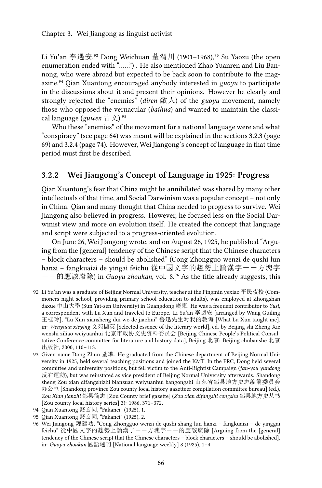Li Yu'an 李遇安,<sup>32</sup> Dong Weichuan 蕫渭川 (1901-1968),<sup>93</sup> Su Yaozu (the open enumeration ended with "……") . He also mentioned Zhao Yuanren and Liu Bannong, who were abroad but expected to be back soon to contribute to the magazine.<sup>94</sup> Qian Xuantong encouraged anybody interested in *guoyu* to participate in the discussions about it and present their opinions. However he clearly and strongly rejected the "enemies" (*diren* 敵人) of the *guoyu* movement, namely those who opposed the vernacular (*baihua*) and wanted to maintain the classical language (*guwen* 古文).<sup>95</sup>

Who these "enemies" of the movement for a national language were and what "conspiracy" (see page 64) was meant will be explained in the sections 3.2.3 (page 69) and 3.2.4 (page 74). However, Wei Jiangong's concept of language in that time period must first be described.

### **3.2.2 Wei Jiangong's Concept of Language in 1925: Progress**

Qian Xuantong's fear that China might be annihilated was shared by many other intellectuals of that time, and Social Darwinism was a popular concept – not only in China. Qian and many thought that China needed to progress to survive. Wei Jiangong also believed in progress. However, he focused less on the Social Darwinist view and more on evolution itself. He created the concept that language and script were subjected to a progress-oriented evolution.

On June 26, Wei Jiangong wrote, and on August 26, 1925, he published "Arguing from the [general] tendency of the Chinese script that the Chinese characters – block characters – should be abolished" (Cong Zhongguo wenzi de qushi lun hanzi - fangkuaizi de yingai feichu 從中國文字的趨勢上論漢字--方塊字  $--$  的應該廢除) in *Guoyu zhoukan*, vol. 8.<sup>96</sup> As the title already suggests, this

<sup>92</sup> Li Yu'an was a graduate of Beijing Normal University, teacher at the Pingmin yexiao 平民夜校 (Commoners night school, providing primary school education to adults), was employed at Zhongshan daxue 中山大學 (Sun Yat-sen University) in Guangdong 廣東. He was a frequent contributor to *Yusi*, a correspondent with Lu Xun and traveled to Europe. Li Yu'an 李遇安 [arranged by Wang Guiling 王桂玲], "Lu Xun xiansheng dui wo de jiaohui" 鲁迅先生对我的教诲 [What Lu Xun taught me], in: *Wenyuan xieying* 文苑撷英 [Selected essence of the literary world], ed. by Beijing shi Zheng-Xie wenshi ziliao weiyuanhui 北京市政协文史资料委员会 [Beijing Chinese People's Political Consultative Conference committee for literature and history data], Beijing 北京: Beijing chubanshe 北京 出版社, 2000, 110–113.

<sup>93</sup> Given name Dong Zhun 蕫準. He graduated from the Chinese department of Beijing Normal University in 1925, held several teaching positions and joined the KMT. In the PRC, Dong held several committee and university positions, but fell victim to the Anti-Rightist Campaign (*fan-you yundong* 反右運動), but was reinstated as vice president of Beijing Normal University afterwards. Shandong sheng Zou xian difangshizhi bianzuan weiyuanhui bangongshi 山东省邹县地方史志编纂委员会 办公室 [Shandong province Zou county local history gazetteer compilation committee bureau] (ed.), *Zou Xian jianzhi* 邹县简志 [Zou County brief gazette] (*Zou xian difangshi congshu* 邹县地方史丛书 [Zou county local history series] 3): 1986, 371–372.

<sup>94</sup> Qian Xuantong 錢玄同, "Fakanci" (1925), 1.

<sup>95</sup> Qian Xuantong 錢玄同, "Fakanci" (1925), 2.

<sup>96</sup> Wei Jiangong 魏建功, "Cong Zhongguo wenzi de qushi shang lun hanzi – fangkuaizi – de yinggai feichu" 從中國文字的趨勢上論漢子--方塊字--的應該廢除 [Arguing from the [general] tendency of the Chinese script that the Chinese characters – block characters – should be abolished], in: *Guoyu zhoukan* 國語週刊 [National language weekly] 8 (1925), 1–4.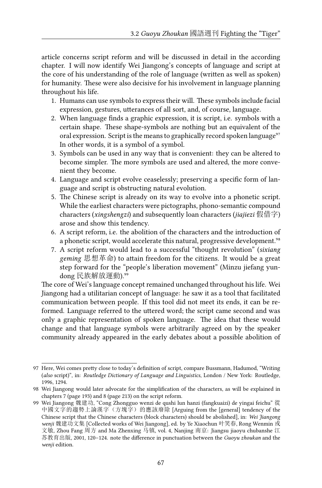article concerns script reform and will be discussed in detail in the according chapter. I will now identify Wei Jiangong's concepts of language and script at the core of his understanding of the role of language (written as well as spoken) for humanity. These were also decisive for his involvement in language planning throughout his life.

- 1. Humans can use symbols to express their will. These symbols include facial expression, gestures, utterances of all sort, and, of course, language.
- 2. When language finds a graphic expression, it is script, i.e. symbols with a certain shape. These shape-symbols are nothing but an equivalent of the oral expression. Script is the means to graphically record spoken language<sup>97</sup> In other words, it is a symbol of a symbol.
- 3. Symbols can be used in any way that is convenient: they can be altered to become simpler. The more symbols are used and altered, the more convenient they become.
- 4. Language and script evolve ceaselessly; preserving a specific form of language and script is obstructing natural evolution.
- 5. The Chinese script is already on its way to evolve into a phonetic script. While the earliest characters were pictographs, phono-semantic compound characters (*xingshengzi*) and subsequently loan characters (*jiajiezi* 假借字) arose and show this tendency.
- 6. A script reform, i.e. the abolition of the characters and the introduction of a phonetic script, would accelerate this natural, progressive development.<sup>98</sup>
- 7. A script reform would lead to a successful "thought revolution" (*sixiang geming* 思想革命) to attain freedom for the citizens. It would be a great step forward for the "people's liberation movement" (Minzu jiefang yundong 民族解放運動).<sup>99</sup>

The core of Wei's language concept remained unchanged throughout his life. Wei Jiangong had a utilitarian concept of language: he saw it as a tool that facilitated communication between people. If this tool did not meet its ends, it can be reformed. Language referred to the uttered word; the script came second and was only a graphic representation of spoken language. The idea that these would change and that language symbols were arbitrarily agreed on by the speaker community already appeared in the early debates about a possible abolition of

<sup>97</sup> Here, Wei comes pretty close to today's definition of script, compare Bussmann, Hadumod, "Writing (*also* script)", in: *Routledge Dictionary of Language and Linguistics*, London / New York: Routledge, 1996, 1294.

<sup>98</sup> Wei Jiangong would later advocate for the simplification of the characters, as will be explained in chapters 7 (page 193) and 8 (page 213) on the script reform.

<sup>99</sup> Wei Jiangong 魏建功, "Cong Zhongguo wenzi de qushi lun hanzi (fangkuaizi) de yingai feichu" 從 中國文字的趨勢上論漢字(方塊字)的應該廢除 [Arguing from the [general] tendency of the Chinese script that the Chinese characters (block characters) should be abolished], in: *Wei Jiangong wenji* 魏建功文集 [Collected works of Wei Jiangong], ed. by Ye Xiaochun 叶笑春, Rong Wenmin 戎 文敏, Zhou Fang 周方 and Ma Zhenxing 马镇, vol. 4, Nanjing 南京: Jiangsu jiaoyu chubanshe 江 苏教育出版, 2001, 120–124. note the difference in punctuation between the *Guoyu zhoukan* and the *wenji* edition.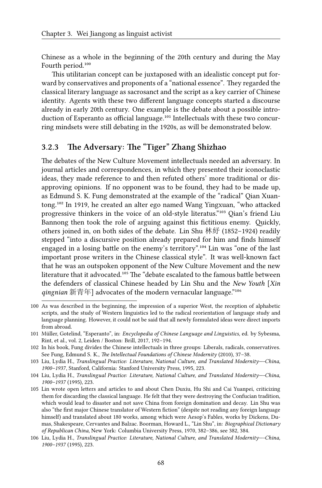Chinese as a whole in the beginning of the 20th century and during the May Fourth period.<sup>100</sup>

This utilitarian concept can be juxtaposed with an idealistic concept put forward by conservatives and proponents of a "national essence". They regarded the classical literary language as sacrosanct and the script as a key carrier of Chinese identity. Agents with these two different language concepts started a discourse already in early 20th century. One example is the debate about a possible introduction of Esperanto as official language.<sup>101</sup> Intellectuals with these two concurring mindsets were still debating in the 1920s, as will be demonstrated below.

#### **3.2.3 The Adversary: The "Tiger" Zhang Shizhao**

The debates of the New Culture Movement intellectuals needed an adversary. In journal articles and correspondences, in which they presented their iconoclastic ideas, they made reference to and then refuted others' more traditional or disapproving opinions. If no opponent was to be found, they had to be made up, as Edmund S. K. Fung demonstrated at the example of the "radical" Qian Xuantong.<sup>102</sup> In 1919, he created an alter ego named Wang Yingxuan, "who attacked progressive thinkers in the voice of an old-style literatus."<sup>103</sup> Qian's friend Liu Bannong then took the role of arguing against this fictitious enemy. Quickly, others joined in, on both sides of the debate. Lin Shu 林紓 (1852–1924) readily stepped "into a discursive position already prepared for him and finds himself engaged in a losing battle on the enemy's territory".<sup>104</sup> Lin was "one of the last important prose writers in the Chinese classical style". It was well-known fact that he was an outspoken opponent of the New Culture Movement and the new literature that it advocated.<sup>105</sup> The "debate escalated to the famous battle between the defenders of classical Chinese headed by Lin Shu and the *New Youth* [*Xin* qingnian 新青年] advocates of the modern vernacular language.<sup>"106</sup>

<sup>100</sup> As was described in the beginning, the impression of a superior West, the reception of alphabetic scripts, and the study of Western linguistics led to the radical reorientation of language study and language planning. However, it could not be said that all newly formulated ideas were direct imports from abroad.

<sup>101</sup> Müller, Gotelind, "Esperanto", in: *Encyclopedia of Chinese Language and Linguistics*, ed. by Sybesma, Rint, et al., vol. 2, Leiden / Boston: Brill, 2017, 192–194.

<sup>102</sup> In his book, Fung divides the Chinese intellectuals in three groups: Liberals, radicals, conservatives. See Fung, Edmund S. K., *The Intellectual Foundations of Chinese Modernity* (2010), 37–38.

<sup>103</sup> Liu, Lydia H., *Translingual Practice: Literature, National Culture, and Translated Modernity—-China, 1900–1937*, Stanford, California: Stanford University Press, 1995, 223.

<sup>104</sup> Liu, Lydia H., *Translingual Practice: Literature, National Culture, and Translated Modernity—-China, 1900–1937* (1995), 223.

<sup>105</sup> Lin wrote open letters and articles to and about Chen Duxiu, Hu Shi and Cai Yuanpei, criticizing them for discarding the classical language. He felt that they were destroying the Confucian tradition, which would lead to disaster and not save China from foreign domination and decay. Lin Shu was also "the first major Chinese translator of Western fiction" (despite not reading any foreign language himself) and translated about 180 works, among which were Aesop's Fables, works by Dickens, Dumas, Shakespeare, Cervantes and Balzac. Boorman, Howard L., "Lin Shu", in: *Biographical Dictionary of Republican China*, New York: Columbia University Press, 1970, 382–386, see 382, 384.

<sup>106</sup> Liu, Lydia H., *Translingual Practice: Literature, National Culture, and Translated Modernity—-China, 1900–1937* (1995), 223.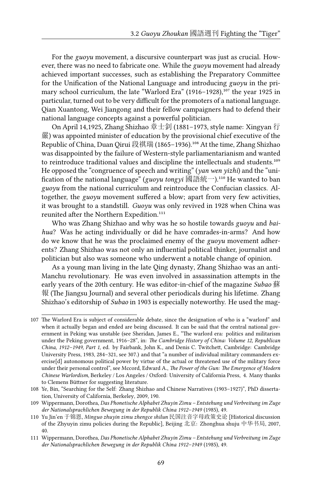For the *guoyu* movement, a discursive counterpart was just as crucial. However, there was no need to fabricate one. While the *guoyu* movement had already achieved important successes, such as establishing the Preparatory Committee for the Unification of the National Language and introducing *guoyu* in the primary school curriculum, the late "Warlord Era" (1916–1928),<sup>107</sup> the year 1925 in particular, turned out to be very difficult for the promoters of a national language. Qian Xuantong, Wei Jiangong and their fellow campaigners had to defend their national language concepts against a powerful politician.

On April 14,1925, Zhang Shizhao 章士釗 (1881–1973, style name: Xingyan 行 嚴) was appointed minister of education by the provisional chief executive of the Republic of China, Duan Oirui 段祺瑞 (1865–1936).<sup>108</sup> At the time, Zhang Shizhao was disappointed by the failure of Western-style parliamentarianism and wanted to reintroduce traditional values and discipline the intellectuals and students.<sup>109</sup> He opposed the "congruence of speech and writing" (*yan wen yizhi*) and the "unification of the national language" (*guoyu tongyi* 國語統一).<sup>110</sup> He wanted to ban *guoyu* from the national curriculum and reintroduce the Confucian classics. Altogether, the *guoyu* movement suffered a blow; apart from very few activities, it was brought to a standstill. *Guoyu* was only revived in 1928 when China was reunited after the Northern Expedition.<sup>111</sup>

Who was Zhang Shizhao and why was he so hostile towards *guoyu* and *baihua*? Was he acting individually or did he have comrades-in-arms? And how do we know that he was the proclaimed enemy of the *guoyu* movement adherents? Zhang Shizhao was not only an influential political thinker, journalist and politician but also was someone who underwent a notable change of opinion.

As a young man living in the late Qing dynasty, Zhang Shizhao was an anti-Manchu revolutionary. He was even involved in assassination attempts in the early years of the 20th century. He was editor-in-chief of the magazine *Subao* 蘇 報 (The Jiangsu Journal) and several other periodicals during his lifetime. Zhang Shizhao's editorship of *Subao* in 1903 is especially noteworthy. He used the mag-

<sup>107</sup> The Warlord Era is subject of considerable debate, since the designation of who is a "warlord" and when it actually began and ended are being discussed. It can be said that the central national government in Peking was unstable (see Sheridan, James E., "The warlord era: politics and militarism under the Peking government, 1916–28", in: *The Cambridge History of China: Volume 12, Republican China, 1912–1949, Part 1*, ed. by Fairbank, John K., and Denis C. Twitchett, Cambridge: Cambridge University Press, 1983, 284–321, see 307.) and that "a number of individual military commanders exercise[d] autonomous political power by virtue of the actual or threatened use of the military force under their personal control", see Mccord, Edward A., *The Power of the Gun: The Emergence of Modern Chinese Warlordism*, Berkeley / Los Angeles / Oxford: University of California Press, 4. Many thanks to Clemens Büttner for suggesting literature.

<sup>108</sup> Ye, Bin, "Searching for the Self: Zhang Shizhao and Chinese Narratives (1903–1927)", PhD dissertation, University of California, Berkeley, 2009, 190.

<sup>109</sup> Wippermann, Dorothea, *Das Phonetische Alphabet Zhuyin Zimu – Entstehung und Verbreitung im Zuge der Nationalsprachlichen Bewegung in der Republik China 1912–1949* (1985), 49.

<sup>110</sup> Yu Jin'en 于锦恩, *Minguo zhuyin zimu zhengce shilun* 民国注音字母政策史论 [Historical discussion of the Zhyuyin zimu policies during the Republic], Beijing 北京: Zhonghua shuju 中华书局, 2007, 40.

<sup>111</sup> Wippermann, Dorothea, *Das Phonetische Alphabet Zhuyin Zimu – Entstehung und Verbreitung im Zuge der Nationalsprachlichen Bewegung in der Republik China 1912–1949* (1985), 49.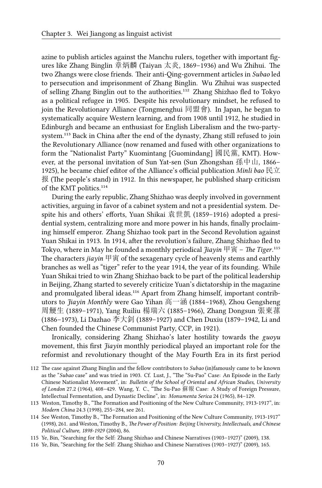azine to publish articles against the Manchu rulers, together with important figures like Zhang Binglin 章炳麟 (Taiyan 太炎, 1869–1936) and Wu Zhihui. The two Zhangs were close friends. Their anti-Qing-government articles in *Subao* led to persecution and imprisonment of Zhang Binglin. Wu Zhihui was suspected of selling Zhang Binglin out to the authorities.<sup>112</sup> Zhang Shizhao fled to Tokyo as a political refugee in 1905. Despite his revolutionary mindset, he refused to join the Revolutionary Alliance (Tongmenghui 同盟會). In Japan, he began to systematically acquire Western learning, and from 1908 until 1912, he studied in Edinburgh and became an enthusiast for English Liberalism and the two-partysystem.<sup>113</sup> Back in China after the end of the dynasty, Zhang still refused to join the Revolutionary Alliance (now renamed and fused with other organizations to form the "Nationalist Party" Kuomintang [Guomindang] 國民黨, KMT). However, at the personal invitation of Sun Yat-sen (Sun Zhongshan 孫中山, 1866– 1925), he became chief editor of the Alliance's official publication *Minli bao* 民立 报 (The people's stand) in 1912. In this newspaper, he published sharp criticism of the KMT politics.<sup>114</sup>

During the early republic, Zhang Shizhao was deeply involved in government activities, arguing in favor of a cabinet system and not a presidential system. Despite his and others' efforts, Yuan Shikai 袁世凱 (1859–1916) adopted a presidential system, centralizing more and more power in his hands, finally proclaiming himself emperor. Zhang Shizhao took part in the Second Revolution against Yuan Shikai in 1913. In 1914, after the revolution's failure, Zhang Shizhao fled to Tokyo, where in May he founded a monthly periodical  $\overline{f}$ *iayin*  $\overline{F}$   $\overline{g}$  – *The Tiger*.<sup>115</sup> The characters *jiayin* 甲寅 of the sexagenary cycle of heavenly stems and earthly branches as well as "tiger" refer to the year 1914, the year of its founding. While Yuan Shikai tried to win Zhang Shizhao back to be part of the political leadership in Beijing, Zhang started to severely criticize Yuan's dictatorship in the magazine and promulgated liberal ideas.<sup>116</sup> Apart from Zhang himself, important contributors to *Jiayin Monthly* were Gao Yihan 高一涵 (1884–1968), Zhou Gengsheng 周鯁生 (1889–1971), Yang Ruiliu 楊瑞六 (1885–1966), Zhang Dongsun 張東蓀 (1886–1973), Li Dazhao 李大釗 (1889–1927) and Chen Duxiu (1879–1942, Li and Chen founded the Chinese Communist Party, CCP, in 1921).

Ironically, considering Zhang Shizhao's later hostility towards the *guoyu* movement, this first *Jiayin* monthly periodical played an important role for the reformist and revolutionary thought of the May Fourth Era in its first period

<sup>112</sup> The case against Zhang Binglin and the fellow contributors to *Subao* (in)famously came to be known as the "*Subao* case" and was tried in 1903. Cf. Lust, J., "The "Su-Pao" Case: An Episode in the Early Chinese Nationalist Movement", in: *Bulletin of the School of Oriental and African Studies, University of London* 27.2 (1964), 408–429. Wang, Y. C., "The Su-Pao 蘇報 Case: A Study of Foreign Pressure, Intellectual Fermentation, and Dynastic Decline", in: *Monumenta Serica* 24 (1965), 84–129.

<sup>113</sup> Weston, Timothy B., "The Formation and Positioning of the New Culture Community, 1913-1917", in: *Modern China* 24.3 (1998), 255–284, see 261.

<sup>114</sup> See Weston, Timothy B., "The Formation and Positioning of the New Culture Community, 1913-1917" (1998), 261. and Weston, Timothy B., *The Power of Position: Beijing University, Intellectuals, and Chinese Political Culture, 1898-1929* (2004), 86.

<sup>115</sup> Ye, Bin, "Searching for the Self: Zhang Shizhao and Chinese Narratives (1903–1927)" (2009), 138.

<sup>116</sup> Ye, Bin, "Searching for the Self: Zhang Shizhao and Chinese Narratives (1903–1927)" (2009), 165.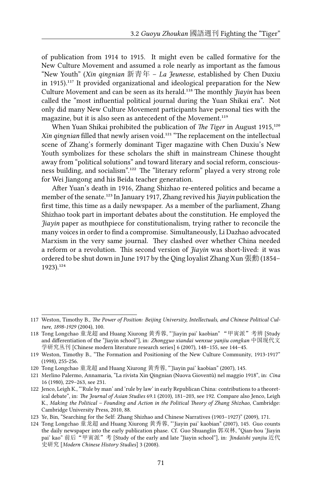of publication from 1914 to 1915. It might even be called formative for the New Culture Movement and assumed a role nearly as important as the famous "New Youth" (*Xin qingnian* 新青年 – *La Jeunesse*, established by Chen Duxiu in 1915). $117$  It provided organizational and ideological preparation for the New Culture Movement and can be seen as its herald.<sup>118</sup> The monthly *Jiayin* has been called the "most influential political journal during the Yuan Shikai era". Not only did many New Culture Movement participants have personal ties with the magazine, but it is also seen as antecedent of the Movement.<sup>119</sup>

When Yuan Shikai prohibited the publication of *The Tiger* in August 1915,<sup>120</sup> *Xin qingnian* filled that newly arisen void.<sup>121</sup> "The replacement on the intellectual scene of Zhang's formerly dominant Tiger magazine with Chen Duxiu's New Youth symbolizes for these scholars the shift in mainstream Chinese thought away from "political solutions" and toward literary and social reform, consciousness building, and socialism".<sup>122</sup> The "literary reform" played a very strong role for Wei Jiangong and his Beida teacher generation.

After Yuan's death in 1916, Zhang Shizhao re-entered politics and became a member of the senate.<sup>123</sup> In January 1917, Zhang revived his *Jiayin* publication the first time, this time as a daily newspaper. As a member of the parliament, Zhang Shizhao took part in important debates about the constitution. He employed the *Jiayin* paper as mouthpiece for constitutionalism, trying rather to reconcile the many voices in order to find a compromise. Simultaneously, Li Dazhao advocated Marxism in the very same journal. They clashed over whether China needed a reform or a revolution. This second version of *Jiayin* was short-lived: it was ordered to be shut down in June 1917 by the Qing loyalist Zhang Xun 張勳 (1854–  $1923$ ).  $124$ 

<sup>117</sup> Weston, Timothy B., *The Power of Position: Beijing University, Intellectuals, and Chinese Political Culture, 1898-1929* (2004), 100.

<sup>118</sup> Tong Longchao 童龙超 and Huang Xiurong 黄秀蓉, "'Jiayin pai' kaobian" "甲寅派"考辨 [Study and differentiation of the "Jiayin school"], in: *Zhongguo xiandai wenxue yanjiu congkan* 中国现代文 学研究丛刊 [Chinese modern literature research series] 6 (2007), 148–155, see 144–45.

<sup>119</sup> Weston, Timothy B., "The Formation and Positioning of the New Culture Community, 1913-1917" (1998), 255-256.

<sup>120</sup> Tong Longchao 童龙超 and Huang Xiurong 黄秀蓉, "'Jiayin pai' kaobian" (2007), 145.

<sup>121</sup> Merlino Palermo, Annamaria, "La rivista Xin Qingnian (Nuova Gioventù) nel maggio 1918", in: *Cina* 16 (1980), 229–263, see 231.

<sup>122</sup> Jenco, Leigh K., "'Rule by man' and 'rule by law' in early Republican China: contributions to a theoretical debate", in: *The Journal of Asian Studies* 69.1 (2010), 181–203, see 192. Compare also Jenco, Leigh K., *Making the Political – Founding and Action in the Political Theory of Zhang Shizhao*, Cambridge: Cambridge University Press, 2010, 88.

<sup>123</sup> Ye, Bin, "Searching for the Self: Zhang Shizhao and Chinese Narratives (1903–1927)" (2009), 171.

<sup>124</sup> Tong Longchao 童龙超 and Huang Xiurong 黄秀蓉, "'Jiayin pai' kaobian" (2007), 145. Guo counts the daily newspaper into the early publication phase. Cf. Guo Shuanglin 郭双林, "Qian-hou 'Jiayin pai' kao" 前后"甲寅派"考 [Study of the early and late "Jiayin school"], in: *Jindaishi yanjiu* 近代 史研究 [*Modern Chinese History Studies*] 3 (2008).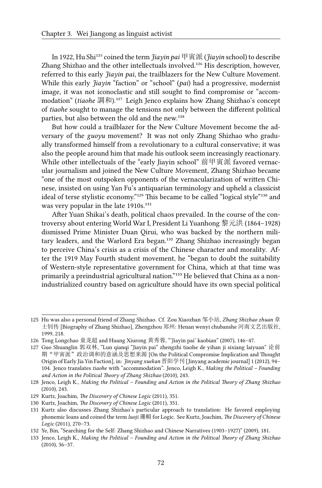In 1922, Hu Shi<sup>125</sup> coined the term *Jiayin pai* 甲寅派 (*Jiayin* school) to describe Zhang Shizhao and the other intellectuals involved.<sup>126</sup> His description, however, referred to this early *Jiayin pai*, the trailblazers for the New Culture Movement. While this early *Jiayin* "faction" or "school" (*pai*) had a progressive, modernist image, it was not iconoclastic and still sought to find compromise or "accommodation" (*tiaohe* 調和).<sup>127</sup> Leigh Jenco explains how Zhang Shizhao's concept of *tiaohe* sought to manage the tensions not only between the different political parties, but also between the old and the new.<sup>128</sup>

But how could a trailblazer for the New Culture Movement become the adversary of the *guoyu* movement? It was not only Zhang Shizhao who gradually transformed himself from a revolutionary to a cultural conservative; it was also the people around him that made his outlook seem increasingly reactionary. While other intellectuals of the "early Jiayin school" 前甲寅派 favored vernacular journalism and joined the New Culture Movement, Zhang Shizhao became "one of the most outspoken opponents of the vernacularization of written Chinese, insisted on using Yan Fu's antiquarian terminology and upheld a classicist ideal of terse stylistic economy."<sup>129</sup> This became to be called "logical style"<sup>130</sup> and was very popular in the late  $1910s$ .<sup>131</sup>

After Yuan Shikai's death, political chaos prevailed. In the course of the controversy about entering World War I, President Li Yuanhong 黎元洪 (1864–1928) dismissed Prime Minister Duan Qirui, who was backed by the northern military leaders, and the Warlord Era began.<sup>132</sup> Zhang Shizhao increasingly began to perceive China's crisis as a crisis of the Chinese character and morality. After the 1919 May Fourth student movement, he "began to doubt the suitability of Western-style representative government for China, which at that time was primarily a preindustrial agricultural nation."<sup>133</sup> He believed that China as a nonindustrialized country based on agriculture should have its own special political

<sup>125</sup> Hu was also a personal friend of Zhang Shizhao. Cf. Zou Xiaozhan 邹小站, *Zhang Shizhao zhuan* 章 士钊传 [Biography of Zhang Shizhao], Zhengzhou 郑州: Henan wenyi chubanshe 河南文艺出版社, 1999, 218.

<sup>126</sup> Tong Longchao 童龙超 and Huang Xiurong 黄秀蓉, "'Jiayin pai' kaobian" (2007), 146–47.

<sup>127</sup> Guo Shuanglin 郭双林, "Lun qianqi "Jiayin pai" zhengzhi tiaohe de yihan ji sixiang laiyuan" 论前 期"甲寅派"政治调和的意涵及思想来源 [On the Political Compromise Implication and Thought Origin of Early Jia Yin Faction], in: *Jinyang xuekan* 晋阳学刊 [Jinyang academic journal] 1 (2012), 94– 104. Jenco translates *tiaohe* with "accommodation". Jenco, Leigh K., *Making the Political – Founding and Action in the Political Theory of Zhang Shizhao* (2010), 243.

<sup>128</sup> Jenco, Leigh K., *Making the Political – Founding and Action in the Political Theory of Zhang Shizhao* (2010), 243.

<sup>129</sup> Kurtz, Joachim, *The Discovery of Chinese Logic* (2011), 351.

<sup>130</sup> Kurtz, Joachim, *The Discovery of Chinese Logic* (2011), 351.

<sup>131</sup> Kurtz also discusses Zhang Shizhao's particular approach to translation: He favored employing phonemic loans and coined the term *luoji* 邏輯 for Logic. See Kurtz, Joachim, *The Discovery of Chinese Logic* (2011), 270–73.

<sup>132</sup> Ye, Bin, "Searching for the Self: Zhang Shizhao and Chinese Narratives (1903–1927)" (2009), 181.

<sup>133</sup> Jenco, Leigh K., *Making the Political – Founding and Action in the Political Theory of Zhang Shizhao* (2010), 36–37.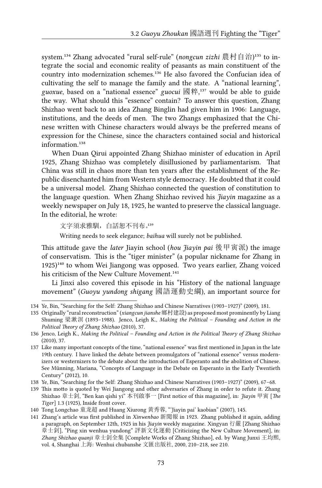system.<sup>134</sup> Zhang advocated "rural self-rule" (*nongcun zizhi* 農村自治)<sup>135</sup> to integrate the social and economic reality of peasants as main constituent of the country into modernization schemes.<sup>136</sup> He also favored the Confucian idea of cultivating the self to manage the family and the state. A "national learning", *guoxue*, based on a "national essence" *guocui* 國粹,<sup>137</sup> would be able to guide the way. What should this "essence" contain? To answer this question, Zhang Shizhao went back to an idea Zhang Binglin had given him in 1906: Language, institutions, and the deeds of men. The two Zhangs emphasized that the Chinese written with Chinese characters would always be the preferred means of expression for the Chinese, since the characters contained social and historical information.<sup>138</sup>

When Duan Qirui appointed Zhang Shizhao minister of education in April 1925, Zhang Shizhao was completely disillusioned by parliamentarism. That China was still in chaos more than ten years after the establishment of the Republic disenchanted him from Western style democracy. He doubted that it could be a universal model. Zhang Shizhao connected the question of constitution to the language question. When Zhang Shizhao revived his *Jiayin* magazine as a weekly newspaper on July 18, 1925, he wanted to preserve the classical language. In the editorial, he wrote:

文字須求雅馴,白話恕不刊布。139

Writing needs to seek elegance; *baihua* will surely not be published.

This attitude gave the *later* Jiayin school (*hou Jiayin pai* 後甲寅派) the image of conservatism. This is the "tiger minister" (a popular nickname for Zhang in  $1925$ <sup> $140$ </sup> to whom Wei Jiangong was opposed. Two years earlier, Zhang voiced his criticism of the New Culture Movement.<sup>141</sup>

Li Jinxi also covered this episode in his "History of the national language movement" (*Guoyu yundong shigang* 國語運動史綱), an important source for

<sup>134</sup> Ye, Bin, "Searching for the Self: Zhang Shizhao and Chinese Narratives (1903–1927)" (2009), 181.

<sup>135</sup> Originally "rural reconstruction" (*xiangcun jianshe* 鄉村建設) as proposed most prominently by Liang Shuming 梁漱溟 (1893–1988). Jenco, Leigh K., *Making the Political – Founding and Action in the Political Theory of Zhang Shizhao* (2010), 37.

<sup>136</sup> Jenco, Leigh K., *Making the Political – Founding and Action in the Political Theory of Zhang Shizhao* (2010), 37.

<sup>137</sup> Like many important concepts of the time, "national essence" was first mentioned in Japan in the late 19th century. I have linked the debate between promulgators of "national essence" versus modernizers or westernizers to the debate about the introduction of Esperanto and the abolition of Chinese. See Münning, Mariana, "Concepts of Language in the Debate on Esperanto in the Early Twentieth Century" (2012), 10.

<sup>138</sup> Ye, Bin, "Searching for the Self: Zhang Shizhao and Chinese Narratives (1903–1927)" (2009), 67–68.

<sup>139</sup> This motto is quoted by Wei Jiangong and other adversaries of Zhang in order to refute it. Zhang Shizhao 章士釗, "Ben kan qishi yi" 本刊啟事一 [First notice of this magazine], in: *Jiayin* 甲寅 [*The Tiger*] 1.3 (1925), Inside front cover.

<sup>140</sup> Tong Longchao 童龙超 and Huang Xiurong 黄秀蓉, "'Jiayin pai' kaobian" (2007), 145.

<sup>141</sup> Zhang's article was first published in *Xinwenbao* 新聞報 in 1923. Zhang published it again, adding a paragraph, on September 12th, 1925 in his *Jiayin* weekly magazine. Xingyan 行嚴 [Zhang Shizhao 章士釗], "Ping xin wenhua yundong" 評新文化運動 [Criticizing the New Culture Movement], in: *Zhang Shizhao quanji* 章士釗全集 [Complete Works of Zhang Shizhao], ed. by Wang Junxi 王均熙, vol. 4, Shanghai 上海: Wenhui chubanshe 文匯出版社, 2000, 210–218, see 210.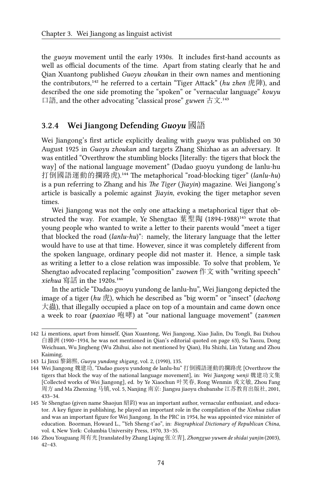the *guoyu* movement until the early 1930s. It includes first-hand accounts as well as official documents of the time. Apart from stating clearly that he and Qian Xuantong published *Guoyu zhoukan* in their own names and mentioning the contributors,<sup>142</sup> he referred to a certain "Tiger Attack" (*hu zhen* 虎陣), and described the one side promoting the "spoken" or "vernacular language" *kouyu* 口語, and the other advocating "classical prose" *guwen* 古文.<sup>143</sup>

#### **3.2.4 Wei Jiangong Defending** *Guoyu* 國語

Wei Jiangong's first article explicitly dealing with *guoyu* was published on 30 August 1925 in *Guoyu zhoukan* and targets Zhang Shizhao as an adversary. It was entitled "Overthrow the stumbling blocks [literally: the tigers that block the way] of the national language movement" (Dadao guoyu yundong de lanlu-hu 打倒國語運動的攔路虎).<sup>144</sup> The metaphorical "road-blocking tiger" (*lanlu-hu*) is a pun referring to Zhang and his *The Tiger* (*Jiayin*) magazine. Wei Jiangong's article is basically a polemic against *Jiayin*, evoking the tiger metaphor seven times.

Wei Jiangong was not the only one attacking a metaphorical tiger that obstructed the way. For example, Ye Shengtao 葉聖陶  $(1894-1988)^{145}$  wrote that young people who wanted to write a letter to their parents would "meet a tiger that blocked the road (*lanlu-hu*)": namely, the literary language that the letter would have to use at that time. However, since it was completely different from the spoken language, ordinary people did not master it. Hence, a simple task as writing a letter to a close relation was impossible. To solve that problem, Ye Shengtao advocated replacing "composition" *zuowen* 作文 with "writing speech"  $xiehua$  寫話 in the 1920s.<sup>146</sup>

In the article "Dadao guoyu yundong de lanlu-hu", Wei Jiangong depicted the image of a tiger (*hu* 虎), which he described as "big worm" or "insect" (*dachong* 大蟲), that illegally occupied a place on top of a mountain and came down once a week to roar (*paoxiao* 咆哮) at "our national language movement" (*zanmen*

<sup>142</sup> Li mentions, apart from himself, Qian Xuantong, Wei Jiangong, Xiao Jialin, Du Tongli, Bai Dizhou 白滌洲 (1900–1934, he was not mentioned in Qian's editorial quoted on page 63), Su Yaozu, Dong Weichuan, Wu Jingheng (Wu Zhihui, also not mentioned by Qian), Hu Shizhi, Lin Yutang and Zhou Kaiming.

<sup>143</sup> Li Jinxi 黎錦熙, *Guoyu yundong shigang*, vol. 2, (1990), 135.

<sup>144</sup> Wei Jiangong 魏建功, "Dadao guoyu yundong de lanlu-hu" 打倒國語運動的攔路虎 [Overthrow the tigers that block the way of the national language movement], in: *Wei Jiangong wenji* 魏建功文集 [Collected works of Wei Jiangong], ed. by Ye Xiaochun 叶笑春, Rong Wenmin 戎文敏, Zhou Fang 周方 and Ma Zhenxing 马镇, vol. 5, Nanjing 南京: Jiangsu jiaoyu chubanshe 江苏教育出版社, 2001, 433–34.

<sup>145</sup> Ye Shengtao (given name Shaojun 紹鈞) was an important author, vernacular enthusiast, and educator. A key figure in publishing, he played an important role in the compilation of the *Xinhua zidian* and was an important figure for Wei Jiangong. In the PRC in 1954, he was appointed vice minister of education. Boorman, Howard L., "Yeh Sheng-t'ao", in: *Biographical Dictionary of Republican China*, vol. 4, New York: Columbia University Press, 1970, 33–35.

<sup>146</sup> Zhou Youguang 周有光 [translated by Zhang Liqing 张立青], *Zhongguo yuwen de shidai yanjin* (2003), 42–43.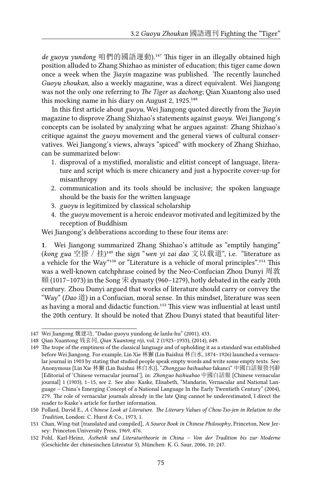de guoyu yundong 咱們的國語運動).<sup>147</sup> This tiger in an illegally obtained high position alluded to Zhang Shizhao as minister of education; this tiger came down once a week when the *Jiayin* magazine was published. The recently launched *Guoyu zhoukan*, also a weekly magazine, was a direct equivalent. Wei Jiangong was not the only one referring to *The Tiger* as *dachong*; Qian Xuantong also used this mocking name in his diary on August 2,  $1925.^{148}$ 

In this first article about *guoyu*, Wei Jiangong quoted directly from the *Jiayin* magazine to disprove Zhang Shizhao's statements against *guoyu*. Wei Jiangong's concepts can be isolated by analyzing what he argues against: Zhang Shizhao's critique against the *guoyu* movement and the general views of cultural conservatives. Wei Jiangong's views, always "spiced" with mockery of Zhang Shizhao, can be summarized below:

- 1. disproval of a mystified, moralistic and elitist concept of language, literature and script which is mere chicanery and just a hypocrite cover-up for misanthropy
- 2. communication and its tools should be inclusive; the spoken language should be the basis for the written language
- 3. *guoyu* is legitimized by classical scholarship
- 4. the *guoyu* movement is a heroic endeavor motivated and legitimized by the reception of Buddhism

Wei Jiangong's deliberations according to these four items are:

**1.** Wei Jiangong summarized Zhang Shizhao's attitude as "emptily hanging" (kong gua 空掛 / 挂)<sup>149</sup> the sign "wen yi zai dao 文以载道", i.e. "literature as a vehicle for the Way"<sup>150</sup> or "Literature is a vehicle of moral principles".<sup>151</sup> This was a well-known catchphrase coined by the Neo-Confucian Zhou Dunyi 周敦 頤 (1017-1073) in the Song 宋 dynasty (960-1279), hotly debated in the early 20th century. Zhou Dunyi argued that works of literature should carry or convey the "Way" (*Dao* 道) in a Confucian, moral sense. In this mindset, literature was seen as having a moral and didactic function.<sup>152</sup> This view was influential at least until the 20th century. It should be noted that Zhou Dunyi stated that beautiful liter-

<sup>147</sup> Wei Jiangong 魏建功, "Dadao guoyu yundong de lanlu-hu" (2001), 433.

<sup>148</sup> Qian Xuantong 钱玄同, *Qian Xuantong riji*, vol. 2 (1923–1933), (2014), 649.

<sup>149</sup> The trope of the emptiness of the classical language and of upholding it as a standard was established before Wei Jiangong. For example, Lin Xie 林獬 (Lin Baishui 林白水, 1874–1926) launched a vernacular journal in 1903 by stating that studied people speak empty words and write some empty texts. See: Anonymous [Lin Xie 林獬 (Lin Baishui 林白水)], "*Zhongguo baihuabao* fakanci" 中國白話報發刊辭 [Editorial of 'Chinese vernacular journal'], in: *Zhonguo baihuabao* 中國白話報 [Chinese vernacular journal] 1 (1903), 1–15, see 2. See also: Kaske, Elisabeth, "Mandarin, Vernacular and National Language – China's Emerging Concept of a National Language In the Early Twentieth Century" (2004), 279. The role of vernacular journals already in the late Qing cannot be underestimated, I direct the reader to Kaske's article for further information.

<sup>150</sup> Pollard, David E., *A Chinese Look at Literature. The Literary Values of Chou-Tso-jen in Relation to the Tradition*, London: C. Hurst & Co., 1973, 1.

<sup>151</sup> Chan, Wing-tsit [translated and compiled], *A Source Book in Chinese Philosophy*, Princeton, New Jersey: Princeton University Press, 1969, 476.

<sup>152</sup> Pohl, Karl-Heinz, *Ästhetik und Literaturtheorie in China – Von der Tradition bis zur Moderne* (Geschichte der chinesischen Literatur 5), München: K. G. Saur, 2006, 10; 247.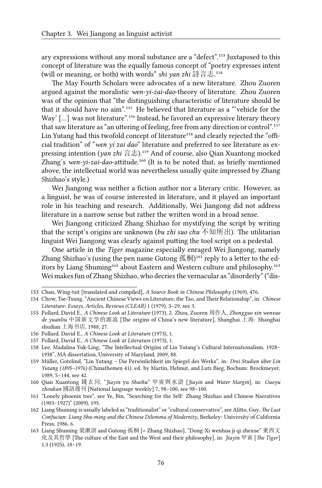ary expressions without any moral substance are a "defect".<sup>153</sup> Juxtaposed to this concept of literature was the equally famous concept of "poetry expresses intent (will or meaning, or both) with words" *shi yan zhi* 詩言志.<sup>154</sup>

The May Fourth Scholars were advocates of a new literature. Zhou Zuoren argued against the moralistic *wen-yi-zai-dao*-theory of literature. Zhou Zuoren was of the opinion that "the distinguishing characteristic of literature should be that it should have no aim".<sup>155</sup> He believed that literature as a "vehicle for the Way'  $[...]$  was not literature".<sup>156</sup> Instead, he favored an expressive literary theory that saw literature as "an uttering of feeling, free from any direction or control".<sup>157</sup> Lin Yutang had this twofold concept of literature<sup>158</sup> and clearly rejected the "official tradition" of "*wen yi zai dao*" literature and preferred to see literature as expressing intention (*yan zhi* 言志).<sup>159</sup> And of course, also Qian Xuantong mocked Zhang's wen-yi-zai-dao-attitude.<sup>160</sup> (It is to be noted that, as briefly mentioned above, the intellectual world was nevertheless usually quite impressed by Zhang Shizhao's style.)

Wei Jiangong was neither a fiction author nor a literary critic. However, as a linguist, he was of course interested in literature, and it played an important role in his teaching and research. Additionally, Wei Jiangong did not address literature in a narrow sense but rather the written word in a broad sense.

Wei Jiangong criticized Zhang Shizhao for mystifying the script by writing that the script's origins are unknown (*bu zhi suo chu* 不知所出). The utilitarian linguist Wei Jiangong was clearly against putting the tool script on a pedestal.

One article in the *Tiger* magazine especially enraged Wei Jiangong, namely Zhang Shizhao's (using the pen name Gutong  $\mathfrak{M}$   $\mathfrak{m}$ )<sup>161</sup> reply to a letter to the editors by Liang Shuming<sup>162</sup> about Eastern and Western culture and philosophy.<sup>163</sup> Wei makes fun of Zhang Shizhao, who decries the vernacular as "disorderly" ("dis-

<sup>153</sup> Chan, Wing-tsit [translated and compiled], *A Source Book in Chinese Philosophy* (1969), 476.

<sup>154</sup> Chow, Tse-Tsung, "Ancient Chinese Views on Literature, the Tao, and Their Relationship", in: *Chinese Literature: Essays, Articles, Reviews (CLEAR)* 1 (1979), 3–29, see 3.

<sup>155</sup> Pollard, David E., *A Chinese Look at Literature* (1973), 2. Zhou, Zuoren 周作人, *Zhongguo xin wenxue de yuanliu* 中国新文学的源流 [The origins of China's new literature], Shanghai 上海: Shanghai shudian 上海书店, 1988, 27.

<sup>156</sup> Pollard, David E., *A Chinese Look at Literature* (1973), 1.

<sup>157</sup> Pollard, David E., *A Chinese Look at Literature* (1973), 1.

<sup>158</sup> Lee, Madalina Yuk-Ling, "The Intellectual Origins of Lin Yutang's Cultural Internationalism, 1928– 1938", MA dissertation, University of Maryland, 2009, 88.

<sup>159</sup> Müller, Gotelind, "Lin Yutang – Die Persönlichkeit im Spiegel des Werks", in: *Drei Studien über Lin Yutang (1895–1976)* (Chinathemen 41), ed. by Martin, Helmut, and Lutz Bieg, Bochum: Brockmeyer, 1989, 5–144, see 42.

<sup>160</sup> Qian Xuantong 錢玄同, "*Jiayin* yu *Shuihu*" 甲寅與水滸 [*Jiayin* and *Water Margin*], in: *Guoyu zhoukan* 國語週刊 [National language weekly] 7, 98–100, see 98–100.

<sup>161 &</sup>quot;Lonely phoenix tree", see Ye, Bin, "Searching for the Self: Zhang Shizhao and Chinese Narratives (1903–1927)" (2009), 195.

<sup>162</sup> Liang Shuming is usually labeled as "traditionalist" or "cultural conservative", see Alitto, Guy, *The Last Confucian: Liang Shu-ming and the Chinese Dilemma of Modernity*, Berkeley: University of California Press, 1986, 6.

<sup>163</sup> Liang Shuming 梁漱溟 and Gutong 孤桐 [= Zhang Shizhao], "Dong-Xi wenhua ji qi zhexue" 東西文 化及其哲學 [The culture of the East and the West and their philosophy], in: *Jiayin* 甲寅 [*The Tiger*] 1.3 (1925), 18–19.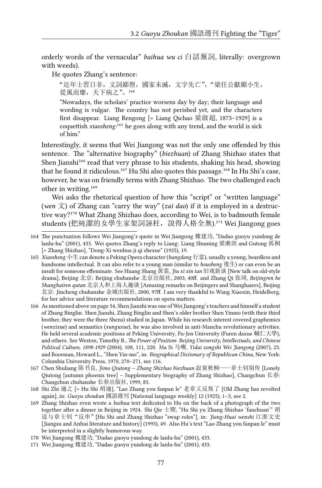orderly words of the vernacular" *baihua wu ci* 白話蕪詞, literally: overgrown with weeds).

#### He quotes Zhang's sentence:

"近年士習日非,文詞鄙俚,國家未滅,文字先亡","梁任公獻媚小生, 從風而靡,天下病之"。164

"Nowadays, the scholars' practice worsens day by day; their language and wording is vulgar. The country has not perished yet, and the characters first disappear. Liang Rengong [= Liang Qichao 梁啟超, 1873–1929] is a coquettish *xiaosheng*:<sup>165</sup> he goes along with any trend, and the world is sick of him."

Interestingly, it seems that Wei Jiangong was not the only one offended by this sentence. The "alternative biography" (*biezhuan*) of Zhang Shizhao states that Shen Jianshi<sup>166</sup> read that very phrase to his students, shaking his head, showing that he found it ridiculous.<sup>167</sup> Hu Shi also quotes this passage.<sup>168</sup> In Hu Shi's case, however, he was on friendly terms with Zhang Shizhao. The two challenged each other in writing.<sup>169</sup>

Wei asks the rhetorical question of how this "script" or "written language" (*wen* 文) of Zhang can "carry the way" (*zai dao*) if it is employed in a destructive way?<sup>170</sup> What Zhang Shizhao does, according to Wei, is to badmouth female students (把純潔的女學生家架詞誣枉,說得人格全無).<sup>171</sup> Wei Jiangong goes

165 *Xiaosheng* 小生 can denote a Peking Opera character (*hangdang* 行當), usually a young, beardless and handsome intellectual. It can also refer to a young man (similar to *housheng* 後生) or can even be an insult for someone effeminate. See Huang Shang 黄裳, *Jiu xi xin tan* 旧戏新谈 [New talk on old-style drama], Beijing 北京: Beijing chubanshe 北京出版社, 2003, 40ff. and Zhang Qi 张琦, *Beijingren he Shanghairen qutan* 北京人和上海人趣谈 [Amusing remarks on Beijingers and Shanghaiers], Beijing 北京: Jincheng chubanshe 金城出版社, 2000, 97ff. I am very thankful to Wang Xiaoxin, Heidelberg, for her advice and literature recommendations on opera matters.

166 As mentioned above on page 54, Shen Jianshi was one of Wei Jiangong's teachers and himself a student of Zhang Binglin. Shen Jianshi, Zhang Binglin and Shen's older brother Shen Yinmo (with their third brother, they were the three Shens) studied in Japan. While his research interest covered graphemics (*wenzixue*) and semantics (*xunguxue*), he was also involved in anti-Manchu revolutionary activities. He held several academic positions at Peking University, Fu-Jen University (Furen daxue 輔仁大學), and others. See Weston, Timothy B., *The Power of Position: Beijing University, Intellectuals, and Chinese Political Culture, 1898-1929* (2004), 108, 111, 220. Ma Si 马嘶, *Yidai zongshi Wei Jiangong* (2007), 23. and Boorman, Howard L., "Shen Yin-mo", in: *Biographical Dictionary of Republican China*, New York: Columbia University Press, 1970, 270–271, see 116.

167 Chen Shuliang 陈书良, *Jimo Qiutong – Zhang Shizhao biezhuan* 寂寞秋桐——章士钊别传 [Lonely Qiutong [autumn phoenix tree] – Supplementary biography of Zhang Shizhao], Changchun 长春: Changchun chubanshe 长春出版社, 1999, 85.

168 Shi Zhi 適之 [= Hu Shi 胡適], "Lao Zhang you fanpan le" 老章又反叛了 [Old Zhang has revolted again], in: *Guoyu zhoukan* 國語週刊 [National language weekly] 12 (1925), 1–3, see 2.

169 Zhang Shizhao even wrote a *baihua* text dedicated to Hu on the back of a photograph of the two together after a dinner in Beijing in 1924. Shi Qie 士锲, "Hu Shi yu Zhang Shizhao 'fanchuan'" 胡 适与章士钊"反串"[Hu Shi and Zhang Shizhao "swap roles"], in: *Jiang-Huai wenshi* 江淮文史 [Jiangsu and Anhui literature and history] (1993), 49. Also Hu's text "Lao Zhang you fanpan le" must be interpreted in a slightly humorous way.

171 Wei Jiangong 魏建功, "Dadao guoyu yundong de lanlu-hu" (2001), 433.

<sup>164</sup> The punctuation follows Wei Jiangong's quote in Wei Jiangong 魏建功, "Dadao guoyu yundong de lanlu-hu" (2001), 433. Wei quotes Zhang's reply to Liang: Liang Shuming 梁漱溟 and Gutong 孤桐 [= Zhang Shizhao], "Dong-Xi wenhua ji qi zhexue" (1925), 19.

<sup>170</sup> Wei Jiangong 魏建功, "Dadao guoyu yundong de lanlu-hu" (2001), 433.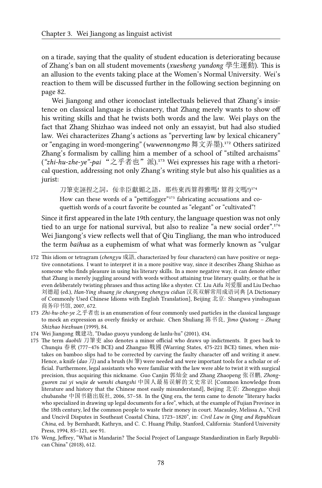on a tirade, saying that the quality of student education is deteriorating because of Zhang's ban on all student movements (*xuesheng yundong* 學生運動). This is an allusion to the events taking place at the Women's Normal University. Wei's reaction to them will be discussed further in the following section beginning on page 82.

Wei Jiangong and other iconoclast intellectuals believed that Zhang's insistence on classical language is chicanery, that Zhang merely wants to show off his writing skills and that he twists both words and the law. Wei plays on the fact that Zhang Shizhao was indeed not only an essayist, but had also studied law. Wei characterizes Zhang's actions as "perverting law by lexical chicanery" or "engaging in word-mongering" (*wuwennongmo* 舞文弄墨).<sup>172</sup> Others satirized Zhang's formalism by calling him a member of a school of "stilted archaisms" ("zhi-hu-zhe-ye"-pai "之乎者也"派).<sup>173</sup> Wei expresses his rage with a rhetorical question, addressing not only Zhang's writing style but also his qualities as a jurist:

刀筆吏誣捏之詞, 佞幸臣獻媚之語, 那些東西算得雅嗎! 算得文嗎!)174 How can these words of a "pettifogger"<sup>175</sup> fabricating accusations and coquettish words of a court favorite be counted as "elegant" or "cultivated"!

Since it first appeared in the late 19th century, the language question was not only tied to an urge for national survival, but also to realize "a new social order".<sup>176</sup> Wei Jiangong's view reflects well that of Qiu Tingliang, the man who introduced the term *baihua* as a euphemism of what what was formerly known as "vulgar

- 173 *Zhi-hu-zhe-ye* 之乎者也 is an enumeration of four commonly used particles in the classical language to mock an expression as overly finicky or archaic. Chen Shuliang 陈书良, *Jimo Qiutong – Zhang Shizhao biezhuan* (1999), 84.
- 174 Wei Jiangong 魏建功, "Dadao guoyu yundong de lanlu-hu" (2001), 434.

<sup>172</sup> This idiom or tetragram (*chengyu* 成語, characterized by four characters) can have positive or negative connotations. I want to interpret it in a more positive way, since it describes Zhang Shizhao as someone who finds pleasure in using his literary skills. In a more negative way, it can denote either that Zhang is merely juggling around with words without attaining true literary quality, or that he is even deliberately twisting phrases and thus acting like a shyster. Cf. Liu Aifu 刘爱服 and Liu Dechao 刘德超 (ed.), *Han-Ying shuang jie changyong chengyu cidian* 汉英双解常用成语词典 [A Dictionary of Commonly Used Chinese Idioms with English Translation], Beijing 北京: Shangwu yinshuguan 商务印书馆, 2007, 672.

<sup>175</sup> The term *daobili* 刀筆吏 also denotes a minor official who draws up indictments. It goes back to Chunqiu 春秋 (777–476 BCE) and Zhanguo 戰國 (Warring States, 475-221 BCE) times, when mistakes on bamboo slips had to be corrected by carving the faulty character off and writing it anew. Hence, a knife (*dao* 刀) and a brush (*bi* 筆) were needed and were important tools for a scholar or official. Furthermore, legal assistants who were familiar with the law were able to twist it with surgical precision, thus acquiring this nickname. Guo Canjin 郭灿金 and Zhang Zhaopeng 张召鹏, *Zhongguoren zui yi wujie de wenshi changshi* 中国人最易误解的文史常识 [Common knowledge from literature and history that the Chinese most easily misunderstand], Beijing 北京: Zhongguo shuji chubanshe 中国书籍出版社, 2006, 57–58. In the Qing era, the term came to denote "literary hacks who specialized in drawing up legal documents for a fee", which, at the example of Fujian Province in the 18th century, led the common people to waste their money in court. Macauley, Melissa A., "Civil and Uncivil Disputes in Southeast Coastal China, 1723–1820", in: *Civil Law in Qing and Republican China*, ed. by Bernhardt, Kathryn, and C. C. Huang Philip, Stanford, California: Stanford University Press, 1994, 85–121, see 91.

<sup>176</sup> Weng, Jeffrey, "What is Mandarin? The Social Project of Language Standardization in Early Republican China" (2018), 612.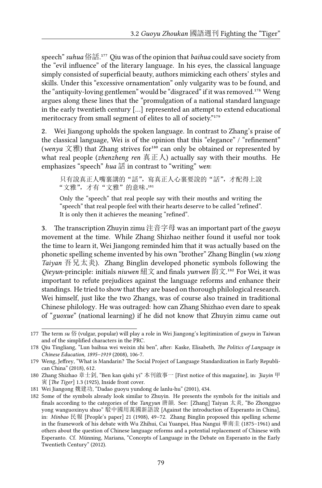speech" suhua俗話.<sup>177</sup> Qiu was of the opinion that *baihua* could save society from the "evil influence" of the literary language. In his eyes, the classical language simply consisted of superficial beauty, authors mimicking each others' styles and skills. Under this "excessive ornamentation" only vulgarity was to be found, and the "antiquity-loving gentlemen" would be "disgraced" if it was removed.<sup>178</sup> Weng argues along these lines that the "promulgation of a national standard language in the early twentieth century […] represented an attempt to extend educational meritocracy from small segment of elites to all of society."179

**2.** Wei Jiangong upholds the spoken language. In contrast to Zhang's praise of the classical language, Wei is of the opinion that this "elegance" / "refinement" (wenya  $\chi$ 雅) that Zhang strives for<sup>180</sup> can only be obtained or represented by what real people (*zhenzheng ren* 真正人) actually say with their mouths. He emphasizes "speech" *hua* 話 in contrast to "writing" *wen*:

只有說真正人嘴裏講的"話",寫真正人心裏要說的"話",才配得上說 "文雅",才有"文雅"的意味。181

Only the "speech" that real people say with their mouths and writing the "speech" that real people feel with their hearts deserve to be called "refined". It is only then it achieves the meaning "refined".

**3.** The transcription Zhuyin zimu 注音字母 was an important part of the *guoyu* movement at the time. While Zhang Shizhao neither found it useful nor took the time to learn it, Wei Jiangong reminded him that it was actually based on the phonetic spelling scheme invented by his own "brother" Zhang Binglin (*wu xiong Taiyan* 吾兄太炎). Zhang Binglin developed phonetic symbols following the *Qieyun*-principle: initials *niuwen* 紐文 and finals *yunwen* 韵文.¹⁸² For Wei, it was important to refute prejudices against the language reforms and enhance their standings. He tried to show that they are based on thorough philological research. Wei himself, just like the two Zhangs, was of course also trained in traditional Chinese philology. He was outraged: how can Zhang Shizhao even dare to speak of "*guoxue*" (national learning) if he did not know that Zhuyin zimu came out

<sup>177</sup> The term *su* 俗 (vulgar, popular) will play a role in Wei Jiangong's legitimization of *guoyu* in Taiwan and of the simplified characters in the PRC.

<sup>178</sup> Qiu Tingliang, "Lun baihua wei weixin zhi ben", after: Kaske, Elisabeth, *The Politics of Language in Chinese Education, 1895–1919* (2008), 106-7.

<sup>179</sup> Weng, Jeffrey, "What is Mandarin? The Social Project of Language Standardization in Early Republican China" (2018), 612.

<sup>180</sup> Zhang Shizhao 章士釗, "Ben kan qishi yi" 本刊啟事一 [First notice of this magazine], in: *Jiayin* 甲 寅 [*The Tiger*] 1.3 (1925), Inside front cover.

<sup>181</sup> Wei Jiangong 魏建功, "Dadao guoyu yundong de lanlu-hu" (2001), 434.

<sup>182</sup> Some of the symbols already look similar to Zhuyin. He presents the symbols for the initials and finals according to the categories of the *Tangyun* 唐韻. See: [Zhang] Taiyan 太炎, "Bo Zhongguo yong wanguoxinyu shuo" 駁中國用萬國新語說 [Against the introduction of Esperanto in China], in: *Minbao* 民報 [People's paper] 21 (1908), 49–72. Zhang Binglin proposed this spelling scheme in the framework of his debate with Wu Zhihui, Cai Yuanpei, Hua Nangui 華南圭 (1875–1961) and others about the question of Chinese language reforms and a potential replacement of Chinese with Esperanto. Cf. Münning, Mariana, "Concepts of Language in the Debate on Esperanto in the Early Twentieth Century" (2012).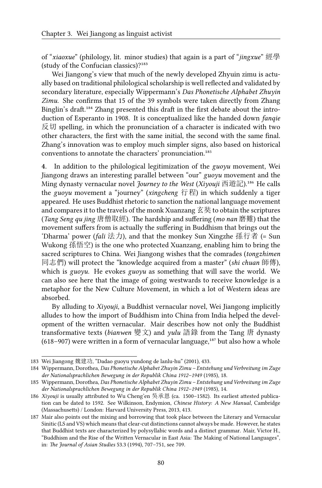of "*xiaoxue*" (philology, lit. minor studies) that again is a part of "*jingxue*" 經學 (study of the Confucian classics)? $183$ 

Wei Jiangong's view that much of the newly developed Zhyuin zimu is actually based on traditional philological scholarship is well reflected and validated by secondary literature, especially Wippermann's *Das Phonetische Alphabet Zhuyin Zimu*. She confirms that 15 of the 39 symbols were taken directly from Zhang Binglin's draft.<sup>184</sup> Zhang presented this draft in the first debate about the introduction of Esperanto in 1908. It is conceptualized like the handed down *fanqie* 反切 spelling, in which the pronunciation of a character is indicated with two other characters, the first with the same initial, the second with the same final. Zhang's innovation was to employ much simpler signs, also based on historical conventions to annotate the characters' pronunciation.<sup>185</sup>

**4.** In addition to the philological legitimization of the *guoyu* movement, Wei Jiangong draws an interesting parallel between "our" *guoyu* movement and the Ming dynasty vernacular novel *Journey to the West (Xiyouji* 西遊記).<sup>186</sup> He calls the *guoyu* movement a "journey" (*xingcheng* 行程) in which suddenly a tiger appeared. He uses Buddhist rhetoric to sanction the national language movement and compares it to the travels of the monk Xuanzang 玄奘 to obtain the scriptures (*Tang Seng qu jing* 唐僧取經). The hardship and suffering (*mo nan* 磨難) that the movement suffers from is actually the suffering in Buddhism that brings out the 'Dharma' power (*fali* 法力), and that the monkey Sun Xingzhe 孫行者 (= Sun Wukong 孫悟空) is the one who protected Xuanzang, enabling him to bring the sacred scriptures to China. Wei Jiangong wishes that the comrades (*tongzhimen* 同志們) will protect the "knowledge acquired from a master" (*shi chuan* 師傳), which is *guoyu*. He evokes *guoyu* as something that will save the world. We can also see here that the image of going westwards to receive knowledge is a metaphor for the New Culture Movement, in which a lot of Western ideas are absorbed.

By alluding to *Xiyouji*, a Buddhist vernacular novel, Wei Jiangong implicitly alludes to how the import of Buddhism into China from India helped the development of the written vernacular. Mair describes how not only the Buddhist transformative texts (*bianwen* 變文) and *yulu* 語錄 from the Tang 唐 dynasty (618–907) were written in a form of vernacular language, $187$  but also how a whole

<sup>183</sup> Wei Jiangong 魏建功, "Dadao guoyu yundong de lanlu-hu" (2001), 433.

<sup>184</sup> Wippermann, Dorothea, *Das Phonetische Alphabet Zhuyin Zimu – Entstehung und Verbreitung im Zuge der Nationalsprachlichen Bewegung in der Republik China 1912–1949* (1985), 18.

<sup>185</sup> Wippermann, Dorothea, *Das Phonetische Alphabet Zhuyin Zimu – Entstehung und Verbreitung im Zuge der Nationalsprachlichen Bewegung in der Republik China 1912–1949* (1985), 14.

<sup>186</sup> *Xiyouji* is usually attributed to Wu Cheng'en 吳承恩 (ca. 1500–1582). Its earliest attested publication can be dated to 1592. See Wilkinson, Endymion, *Chinese History: A New Manual*, Cambridge (Massachusetts) / London: Harvard University Press, 2013, 413.

<sup>187</sup> Mair also points out the mixing and borrowing that took place between the Literary and Vernacular Sinitic (LS and VS) which means that clear-cut distinctions cannot always be made. However, he states that Buddhist texts are characterized by polysyllabic words and a distinct grammar. Mair, Victor H., "Buddhism and the Rise of the Written Vernacular in East Asia: The Making of National Languages", in: *The Journal of Asian Studies* 53.3 (1994), 707–751, see 709.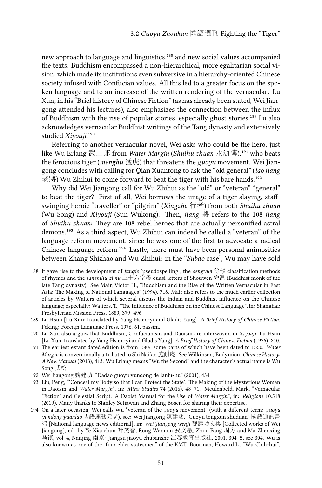new approach to language and linguistics,<sup>188</sup> and new social values accompanied the texts. Buddhism encompassed a non-hierarchical, more egalitarian social vision, which made its institutions even subversive in a hierarchy-oriented Chinese society infused with Confucian values. All this led to a greater focus on the spoken language and to an increase of the written rendering of the vernacular. Lu Xun, in his "Brief history of Chinese Fiction" (as has already been stated, Wei Jiangong attended his lectures), also emphasizes the connection between the influx of Buddhism with the rise of popular stories, especially ghost stories.<sup>189</sup> Lu also acknowledges vernacular Buddhist writings of the Tang dynasty and extensively studied *Xivouii*.<sup>190</sup>

Referring to another vernacular novel, Wei asks who could be the hero, just like Wu Erlang 武二郎 from *Water Margin* (*Shuihu zhuan* 水滸傳),<sup>191</sup> who beats the ferocious tiger (*menghu* 猛虎) that threatens the *guoyu* movement. Wei Jiangong concludes with calling for Qian Xuantong to ask the "old general" (*lao jiang* 老將) Wu Zhihui to come forward to beat the tiger with his bare hands.<sup>192</sup>

Why did Wei Jiangong call for Wu Zhihui as the "old" or "veteran" "general" to beat the tiger? First of all, Wei borrows the image of a tiger-slaying, staffswinging heroic "traveller" or "pilgrim" (*Xingzhe* 行者) from both *Shuihu zhuan* (Wu Song) and *Xiyouji* (Sun Wukong). Then, *jiang* 將 refers to the 108 *jiang* of *Shuihu zhuan*: They are 108 rebel heroes that are actually personified astral demons.<sup>193</sup> As a third aspect, Wu Zhihui can indeed be called a "veteran" of the language reform movement, since he was one of the first to advocate a radical Chinese language reform.<sup>194</sup> Lastly, there must have been personal animosities between Zhang Shizhao and Wu Zhihui: in the "*Subao* case", Wu may have sold

<sup>188</sup> It gave rise to the development of *fanqie* "pseudospelling", the *dengyun* 等韻 classification methods of rhymes and the *sanshiliu zimu* 三十六字母 quasi-letters of Shouwen 守温 (Buddhist monk of the late Tang dynasty). See Mair, Victor H., "Buddhism and the Rise of the Written Vernacular in East Asia: The Making of National Languages" (1994), 718. Mair also refers to the much earlier collection of articles by Watters of which several discuss the Indian and Buddhist influence on the Chinese language; especially: Watters, T., "The Influence of Buddhism on the Chinese Language", in: Shanghai: Presbyterian Mission Press, 1889, 379–496.

<sup>189</sup> Lu Hsun [Lu Xun; translated by Yang Hsien-yi and Gladis Yang], *A Brief History of Chinese Fiction*, Peking: Foreign Language Press, 1976, 61, passim.

<sup>190</sup> Lu Xun also argues that Buddhism, Confucianism and Daoism are interwoven in *Xiyouji*; Lu Hsun [Lu Xun; translated by Yang Hsien-yi and Gladis Yang], *A Brief History of Chinese Fiction* (1976), 210.

<sup>191</sup> The earliest extant dated edition is from 1589, some parts of which have been dated to 1550. *Water Margin* is conventionally attributed to Shi Nai'an 施耐庵. See Wilkinson, Endymion, *Chinese History: A New Manual* (2013), 413. Wu Erlang means "Wu the Second" and the character's actual name is Wu Song 武松.

<sup>192</sup> Wei Jiangong 魏建功, "Dadao guoyu yundong de lanlu-hu" (2001), 434.

<sup>193</sup> Liu, Peng, "'Conceal my Body so that I can Protect the State': The Making of the Mysterious Woman in Daoism and *Water Margin*", in: *Ming Studies* 74 (2016), 48–71. Meulenbeld, Mark, "Vernacular 'Fiction' and Celestial Script: A Daoist Manual for the Use of *Water Margin*", in: *Religions* 10.518 (2019). Many thanks to Stanley Setiawan and Zhang Bosen for sharing their expertise.

<sup>194</sup> On a later occasion, Wei calls Wu "veteran of the *guoyu* movement" (with a different term: *guoyu yundong yuanlao* 國語運動元老), see: Wei Jiangong 魏建功, "Guoyu tongxun shuduan" 國語通訊書 端 [National language news editiorial], in: *Wei Jiangong wenji* 魏建功文集 [Collected works of Wei Jiangong], ed. by Ye Xiaochun 叶笑春, Rong Wenmin 戎文敏, Zhou Fang 周方 and Ma Zhenxing 马镇, vol. 4, Nanjing 南京: Jiangsu jiaoyu chubanshe 江苏教育出版社, 2001, 304–5, see 304. Wu is also known as one of the "four elder statesmen" of the KMT. Boorman, Howard L., "Wu Chih-hui",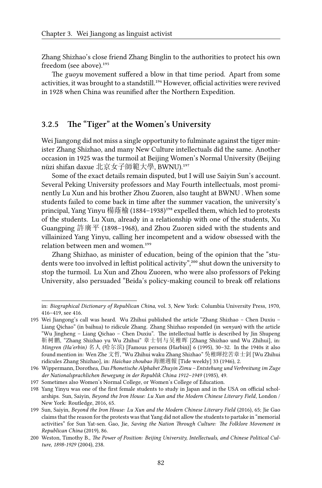Zhang Shizhao's close friend Zhang Binglin to the authorities to protect his own freedom (see above).<sup>195</sup>

The *guoyu* movement suffered a blow in that time period. Apart from some activities, it was brought to a standstill.<sup>196</sup> However, official activities were revived in 1928 when China was reunified after the Northern Expedition.

#### **3.2.5 The "Tiger" at the Women's University**

Wei Jiangong did not miss a single opportunity to fulminate against the tiger minister Zhang Shizhao, and many New Culture intellectuals did the same. Another occasion in 1925 was the turmoil at Beijing Women's Normal University (Beijing nüzi shifan daxue 北京女子師範大學, BWNU).<sup>197</sup>

Some of the exact details remain disputed, but I will use Saiyin Sun's account. Several Peking University professors and May Fourth intellectuals, most prominently Lu Xun and his brother Zhou Zuoren, also taught at BWNU . When some students failed to come back in time after the summer vacation, the university's principal, Yang Yinyu 楊蔭榆 (1884–1938)<sup>198</sup> expelled them, which led to protests of the students. Lu Xun, already in a relationship with one of the students, Xu Guangping 許廣平 (1898–1968), and Zhou Zuoren sided with the students and villainized Yang Yinyu, calling her incompetent and a widow obsessed with the relation between men and women.<sup>199</sup>

Zhang Shizhao, as minister of education, being of the opinion that the "students were too involved in leftist political activity",<sup>200</sup> shut down the university to stop the turmoil. Lu Xun and Zhou Zuoren, who were also professors of Peking University, also persuaded "Beida's policy-making council to break off relations

in: *Biographical Dictionary of Republican China*, vol. 3, New York: Columbia University Press, 1970, 416–419, see 416.

<sup>195</sup> Wei Jiangong's call was heard. Wu Zhihui published the article "Zhang Shizhao – Chen Duxiu – Liang Qichao" (in baihua) to ridicule Zhang. Zhang Shizhao responded (in *wenyan*) with the article "Wu Jingheng – Liang Qichao – Chen Duxiu". The intellectual battle is described by Jin Shupeng 靳树鹏, "Zhang Shizhao yu Wu Zhihui" 章士钊与吴稚晖 [Zhang Shizhao und Wu Zhihui], in: *Mingren (Ha'erbin)* 名人 (哈尔滨) [Famous persons (Harbin)] 6 (1995), 30–32. In the 1940s it also found mention in: Wen Zhe 文哲, "Wu Zhihui waku Zhang Shizhao" 吳稚暉挖苦章士釗 [Wu Zhihui ridicules Zhang Shizhao], in: *Haichao zhoubao* 海潮週報 [Tide weekly] 33 (1946), 2.

<sup>196</sup> Wippermann, Dorothea, *Das Phonetische Alphabet Zhuyin Zimu – Entstehung und Verbreitung im Zuge der Nationalsprachlichen Bewegung in der Republik China 1912–1949* (1985), 49.

<sup>197</sup> Sometimes also Women's Normal College, or Women's College of Education.

<sup>198</sup> Yang Yinyu was one of the first female students to study in Japan and in the USA on official scholarships. Sun, Saiyin, *Beyond the Iron House: Lu Xun and the Modern Chinese Literary Field*, London / New York: Routledge, 2016, 65.

<sup>199</sup> Sun, Saiyin, *Beyond the Iron House: Lu Xun and the Modern Chinese Literary Field* (2016), 65; Jie Gao claims that the reason for the protests was that Yang did not allow the students to partake in "memorial activities" for Sun Yat-sen. Gao, Jie, *Saving the Nation Through Culture: The Folklore Movement in Republican China* (2019), 86.

<sup>200</sup> Weston, Timothy B., *The Power of Position: Beijing University, Intellectuals, and Chinese Political Culture, 1898-1929* (2004), 238.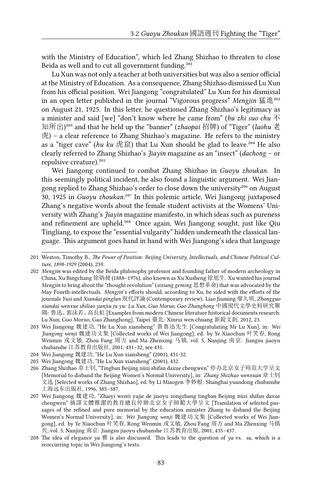with the Ministry of Education", which led Zhang Shizhao to threaten to close Beida as well and to cut all government funding.<sup>201</sup>

Lu Xun was not only a teacher at both universities but was also a senior official at the Ministry of Education. As a consequence, Zhang Shizhao dismissed Lu Xun from his official position. Wei Jiangong "congratulated" Lu Xun for his dismissal in an open letter published in the journal "Vigorous progress" Mengjin 猛進<sup>202</sup> on August 21, 1925. In this letter, he questioned Zhang Shizhao's legitimacy as a minister and said [we] "don't know where he came from" (*bu zhi suo chu* 不 知所出)<sup>203</sup> and that he held up the "banner" (*zhaopai* 招牌) of "Tiger" (*laohu* 老 虎) – a clear reference to Zhang Shizhao's magazine. He refers to the ministry as a "tiger cave" (*hu ku* 虎窟) that Lu Xun should be glad to leave.<sup>204</sup> He also clearly referred to Zhang Shizhao's *Jiayin* magazine as an "insect" (*dachong* – or repulsive creature).<sup>205</sup>

Wei Jiangong continued to combat Zhang Shizhao in *Guoyu zhoukan*. In this seemingly political incident, he also found a linguistic argument. Wei Jiangong replied to Zhang Shizhao's order to close down the university<sup>206</sup> on August 30, 1925 in *Guoyu zhoukan.<sup>207</sup>* In this polemic article, Wei Jiangong juxtaposed Zhang's negative words about the female student activists at the Womens' University with Zhang's *Jiayin* magazine manifesto, in which ideas such as pureness and refinement are upheld.<sup>208</sup> Once again, Wei Jiangong sought, just like Qiu Tingliang, to expose the "essential vulgarity" hidden underneath the classical language. This argument goes hand in hand with Wei Jiangong's idea that language

<sup>201</sup> Weston, Timothy B., *The Power of Position: Beijing University, Intellectuals, and Chinese Political Culture, 1898-1929* (2004), 239.

<sup>202</sup> *Mengjin* was edited by the Beida philosophy professor and founding father of modern archeology in China, Xu Bingchang 徐炳昶 (1888–1976), also known as Xu Xusheng 徐旭生. Xu wanted his journal *Mengjin* to bring about the "thought revolution" (*sixiang geming* 思想革命) that was advocated by the May Fourth intellectuals. *Mengjin*'s efforts should, according to Xu, be sided with the efforts of the journals *Yusi* and *Xiandai pinglun* 現代評論 (Contemporary review). Liao Jiuming 廖久明, *Zhongguo xiandai wenxue shiliao yanjiu ju yu: Lu Xun, Guo Moruo, Gao Zhanghong* 中國現代文學史料研究舉 隅: 魯迅、郭沫若、高長虹 [Examples from modern Chinese literature historical documents research: Lu Xun, Guo Moruo, Gao Zhanghong], Taipei 臺北: Xinrui wen chuang 新銳文創, 2012, 23.

<sup>203</sup> Wei Jiangong 魏建功, "He Lu Xun xiansheng" 賀魯迅先生 [Congratulating Mr Lu Xun], in: *Wei Jiangong wenji* 魏建功文集 [Collected works of Wei Jiangong], ed. by Ye Xiaochun 叶笑春, Rong Wenmin 戎文敏, Zhou Fang 周方 and Ma Zhenxing 马镇, vol. 5, Nanjing 南京: Jiangsu jiaoyu chubanshe 江苏教育出版社, 2001, 431–32, see 431.

<sup>204</sup> Wei Jiangong 魏建功, "He Lu Xun xiansheng" (2001), 431-32.

<sup>205</sup> Wei Jiangong 魏建功, "He Lu Xun xiansheng" (2001), 432.

<sup>206</sup> Zhang Shizhao 章士钊, "Tingban Beijing nüzi shifan daxue chengwen" 停办北京女子师范大学呈文 [Memorial to disband the Beijing Women's Normal University], in: *Zhang Shizhao wenxuan* 章士钊 文选 [Selected works of Zhang Shizhao], ed. by Li Miaogen 李妙根: Shanghai yuandong chubanshe 上海远东出版社, 1996, 385–387.

<sup>207</sup> Wei Jiangong 魏建功, "Zhaiyi wenti yajie de jiaoyu zongzhang tingban Beijing nüzi shifan daxue chengwen" 摘譯文體雅潔的教育總長停辦北京女子師範大學呈文 [Translation of selected passages of the refined and pure memorial by the education minister Zhang to disband the Beijing Women's Normal University], in: *Wei Jiangong wenji* 魏建功文集 [Collected works of Wei Jiangong], ed. by Ye Xiaochun 叶笑春, Rong Wenmin 戎文敏, Zhou Fang 周方 and Ma Zhenxing 马镇 兴, vol. 5, Nanjing 南京: Jiangsu jiaoyu chubanshe 江苏教育出版, 2001, 435–437.

<sup>208</sup> The idea of elegance *ya* 雅 is also discussed. This leads to the question of *ya* vs. *su*, which is a reoccurring topic in Wei Jiangong's texts.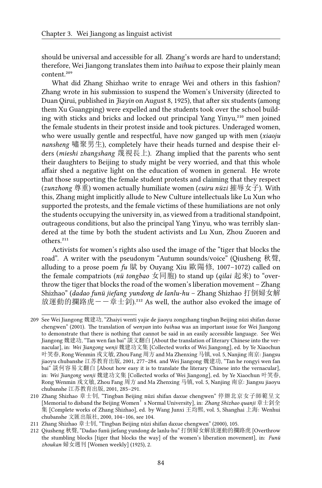should be universal and accessible for all. Zhang's words are hard to understand; therefore, Wei Jiangong translates them into *baihua* to expose their plainly mean content.<sup>209</sup>

What did Zhang Shizhao write to enrage Wei and others in this fashion? Zhang wrote in his submission to suspend the Women's University (directed to Duan Qirui, published in *Jiayin* on August 8, 1925), that after six students (among them Xu Guangping) were expelled and the students took over the school building with sticks and bricks and locked out principal Yang Yinyu,<sup>210</sup> men joined the female students in their protest inside and took pictures. Underaged women, who were usually gentle and respectful, have now ganged up with men (*xiaoju nansheng* 嘯聚男生), completely have their heads turned and despise their elders (*mieshi zhangshang* 蔑視長上). Zhang implied that the parents who sent their daughters to Beijing to study might be very worried, and that this whole affair shed a negative light on the education of women in general. He wrote that those supporting the female student protests and claiming that they respect (*zunzhong* 尊重) women actually humiliate women (*cuiru nüzi* 摧辱女子). With this, Zhang might implicitly allude to New Culture intellectuals like Lu Xun who supported the protests, and the female victims of these humiliations are not only the students occupying the university in, as viewed from a traditional standpoint, outrageous conditions, but also the principal Yang Yinyu, who was terribly slandered at the time by both the student activists and Lu Xun, Zhou Zuoren and others.<sup>211</sup>

Activists for women's rights also used the image of the "tiger that blocks the road". A writer with the pseudonym "Autumn sounds/voice" (Qiusheng 秋聲, alluding to a prose poem *fu* 賦 by Ouyang Xiu 歐陽修, 1007–1072) called on the female compatriots (*nü tongbao* 女同胞) to stand up (*qilai* 起來) to "overthrow the tiger that blocks the road of the women's liberation movement – Zhang Shizhao" (*dadao funü jiefang yundong de lanlu-hu* – Zhang Shizhao 打倒婦女解 放運動的攔路虎--章士釗).<sup>212</sup> As well, the author also evoked the image of

<sup>209</sup> See Wei Jiangong 魏建功, "Zhaiyi wenti yajie de jiaoyu zongzhang tingban Beijing nüzi shifan daxue chengwen" (2001). The translation of *wenyan* into *baihua* was an important issue for Wei Jiangong to demonstrate that there is nothing that cannot be said in an easily accessible language. See Wei Jiangong 魏建功, "Tan wen fan bai" 談文翻白 [About the translation of literary Chinese into the vernacular], in: *Wei Jiangong wenji* 魏建功文集 [Collected works of Wei Jiangong], ed. by Ye Xiaochun 叶笑春, Rong Wenmin 戎文敏, Zhou Fang 周方 and Ma Zhenxing 马镇, vol. 5, Nanjing 南京: Jiangsu jiaoyu chubanshe 江苏教育出版, 2001, 277–284. and Wei Jiangong 魏建功, "Tan he rongyi wen fan bai" 談何容易文翻白 [About how easy it is to translate the literary Chinese into the vernacular], in: *Wei Jiangong wenji* 魏建功文集 [Collected works of Wei Jiangong], ed. by Ye Xiaochun 叶笑春, Rong Wenmin 戎文敏, Zhou Fang 周方 and Ma Zhenxing 马镇, vol. 5, Nanjing 南京: Jiangsu jiaoyu chubanshe 江苏教育出版, 2001, 285–291.

<sup>210</sup> Zhang Shizhao 章士钊, "Tingban Beijing nüzi shifan daxue chengwen" 停辦北京女子師範呈文 [Memorial to disband the Beijing Women's Normal University], in: *Zhang Shizhao quanji* 章士釗全 集 [Complete works of Zhang Shizhao], ed. by Wang Junxi 王均熙, vol. 5, Shanghai 上海: Wenhui chubanshe 文匯出版社, 2000, 104–106, see 104.

<sup>211</sup> Zhang Shizhao 章士钊, "Tingban Beijing nüzi shifan daxue chengwen" (2000), 105.

<sup>212</sup> Qiusheng 秋聲, "Dadao funü jiefang yundong de lanlu-hu" 打倒婦女解放運動的攔路虎 [Overthrow the stumbling blocks [tiger that blocks the way] of the women's liberation movement], in: *Funü zhoukan* 婦女週刊 [Women weekly] (1925), 2.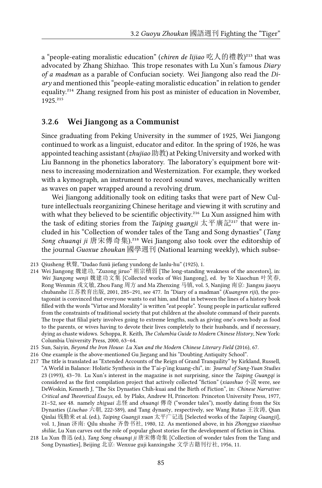a "people-eating moralistic education" (*chiren de lijiao* 吃人的禮教)<sup>213</sup> that was advocated by Zhang Shizhao. This trope resonates with Lu Xun's famous *Diary of a madman* as a parable of Confucian society. Wei Jiangong also read the *Diary* and mentioned this "people-eating moralistic education" in relation to gender equality.<sup>214</sup> Zhang resigned from his post as minister of education in November, 1925.<sup>215</sup>

#### **3.2.6 Wei Jiangong as a Communist**

Since graduating from Peking University in the summer of 1925, Wei Jiangong continued to work as a linguist, educator and editor. In the spring of 1926, he was appointed teaching assistant (*zhujiao* 助教) at Peking University and worked with Liu Bannong in the phonetics laboratory. The laboratory's equipment bore witness to increasing modernization and Westernization. For example, they worked with a kymograph, an instrument to record sound waves, mechanically written as waves on paper wrapped around a revolving drum.

Wei Jiangong additionally took on editing tasks that were part of New Culture intellectuals reorganizing Chinese heritage and viewing it with scrutiny and with what they believed to be scientific objectivity.<sup>216</sup> Lu Xun assigned him with the task of editing stories from the *Taiping guangji* 太平廣記<sup>217</sup> that were included in his "Collection of wonder tales of the Tang and Song dynasties" (*Tang Song chuanqi ji* 唐宋傳奇集).<sup>218</sup> Wei Jiangong also took over the editorship of the journal *Guoxue zhoukan* 國學週刊 (National learning weekly), which subse-

<sup>213</sup> Qiusheng 秋聲, "Dadao funü jiefang yundong de lanlu-hu" (1925), 1.

<sup>214</sup> Wei Jiangong 魏建功, "Zuzong jiruo" 祖宗積弱 [The long-standing weakness of the ancestors], in: *Wei Jiangong wenji* 魏建功文集 [Collected works of Wei Jiangong], ed. by Ye Xiaochun 叶笑春, Rong Wenmin 戎文敏, Zhou Fang 周方 and Ma Zhenxing 马镇, vol. 5, Nanjing 南京: Jiangsu jiaoyu chubanshe 江苏教育出版, 2001, 285–291, see 477. In "Diary of a madman" (*Kuangren riji*), the protagonist is convinced that everyone wants to eat him, and that in between the lines of a history book filled with the words "Virtue and Morality" is written "eat people". Young people in particular suffered from the constraints of traditional society that put children at the absolute command of their parents. The trope that filial piety involves going to extreme lengths, such as giving one's own body as food to the parents, or wives having to devote their lives completely to their husbands, and if necessary, dying as chaste widows. Schoppa, R. Keith, *The Columbia Guide to Modern Chinese History*, New York: Columbia University Press, 2000, 63–64.

<sup>215</sup> Sun, Saiyin, *Beyond the Iron House: Lu Xun and the Modern Chinese Literary Field* (2016), 67.

<sup>216</sup> One example is the above-mentioned Gu Jiegang and his "Doubting Antiquity School".

<sup>217</sup> The title is translated as "Extended Accounts of the Reign of Grand Tranquility" by Kirkland, Russell, "A World in Balance: Holistic Synthesis in the T'ai-p'ing kuang-chi", in: *Journal of Sung-Yuan Studies* 23 (1993), 43–70. Lu Xun's interest in the magazine is not surprising, since the *Taiping Guangqi* is considered as the first compilation project that actively collected "fiction" (*xiaoshuo* 小說 were, see DeWoskin, Kenneth J, "The Six Dynasties Chih-kuai and the Birth of Fiction", in: *Chinese Narrative: Critical and Theoretical Essays*, ed. by Plaks, Andrew H, Princeton: Princeton University Press, 1977, 21–52, see 48. namely *zhiguai* 志怪 and *chuanqi* 傳奇 ("wonder tales"), mostly dating from the Six Dynasties (*Liuchao* 六朝, 222-589), and Tang dynasty, respectively, see Wang Rutao 王汝涛, Qian Qinlai 钱勤来 et al. (ed.), *Taiping Guangji xuan* 太平广记选 [Selected works of the *Taiping Guangji*], vol. 1, Jinan 济南: Qilu shushe 齐鲁书社, 1980, 12. As mentioned above, in his *Zhongguo xiaoshuo shilüe*, Lu Xun carves out the role of popular ghost stories for the development of fiction in China.

<sup>218</sup> Lu Xun 魯迅 (ed.), *Tang Song chuanqi ji* 唐宋傳奇集 [Collection of wonder tales from the Tang and Song Dynasties], Beijing 北京: Wenxue guji kanxingshe 文学古籍刊行社, 1956, 11.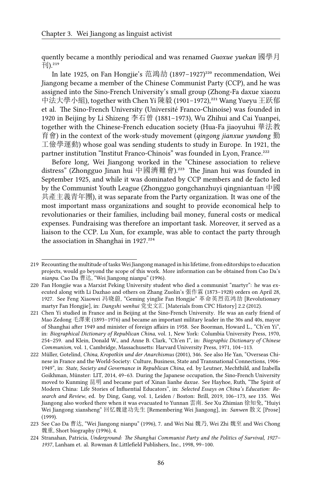quently became a monthly periodical and was renamed *Guoxue yuekan* 國學月  $\overline{+}$ l $)$ .<sup>219</sup>

In late 1925, on Fan Hongjie's 范鴻劼 (1897–1927)<sup>220</sup> recommendation, Wei Jiangong became a member of the Chinese Communist Party (CCP), and he was assigned into the Sino-French University's small group (Zhong-Fa daxue xiaozu 中法大學小組), together with Chen Yi 陳毅 (1901-1972),<sup>221</sup> Wang Yueyu 王跃郁 et al. The Sino-French University (Université Franco-Chinoise) was founded in 1920 in Beijing by Li Shizeng 李石曾 (1881–1973), Wu Zhihui and Cai Yuanpei, together with the Chinese-French education society (Hua-Fa jiaoyuhui 華法教 育會) in the context of the work-study movement (*qingong jianxue yundong* 勤 工儉學運動) whose goal was sending students to study in Europe. In 1921, the partner institution "Institut Franco-Chinois" was founded in Lyon, France.<sup>222</sup>

Before long, Wei Jiangong worked in the "Chinese association to relieve distress" (Zhongguo Jinan hui 中國濟難會).<sup>223</sup> The Jinan hui was founded in September 1925, and while it was dominated by CCP members and de facto led by the Communist Youth League (Zhongguo gongchanzhuyi qingniantuan 中國 共產主義青年團), it was separate from the Party organization. It was one of the most important mass organizations and sought to provide economical help to revolutionaries or their families, including bail money, funeral costs or medical expenses. Fundraising was therefore an important task. Moreover, it served as a liaison to the CCP. Lu Xun, for example, was able to contact the party through the association in Shanghai in 1927.<sup>224</sup>

<sup>219</sup> Recounting the multitude of tasks Wei Jiangong managed in his lifetime, from editorships to education projects, would go beyond the scope of this work. More information can be obtained from Cao Da's *nianpu*. Cao Da 曹达, "Wei Jiangong nianpu" (1996).

<sup>220</sup> Fan Hongjie was a Marxist Peking University student who died a communist "martyr": he was executed along with Li Dazhao and others on Zhang Zuolin's 張作霖 (1873–1928) orders on April 28, 1927. See Feng Xiaowei 冯晓蔚, "Geming yinglie Fan Hongjie" 革命英烈范鸿劼 [Revolutionary martyr Fan Hongjie], in: *Dangshi wenhui* 党史文汇 [Materials from CPC History] 2.2 (2012).

<sup>221</sup> Chen Yi studied in France and in Beijing at the Sino-French University. He was an early friend of Mao Zedong 毛澤東 (1893–1976) and became an important military leader in the 30s and 40s, mayor of Shanghai after 1949 and minister of foreign affairs in 1958. See Boorman, Howard L., "Ch'en Yi", in: *Biographical Dictionary of Republican China*, vol. 1, New York: Columbia University Press, 1970, 254–259. and Klein, Donald W., and Anne B. Clark, "Ch'en I", in: *Biographic Dictionary of Chinese Communism*, vol. 1, Cambridge, Massachusetts: Harvard University Press, 1971, 104–113.

<sup>222</sup> Müller, Gotelind, *China, Kropotkin und der Anarchismus* (2001), 346. See also He Yan, "Overseas Chinese in France and the World-Society: Culture, Business, State and Transnational Connections, 1906- 1949", in: *State, Society and Governance in Republican China*, ed. by Leutner, Mechthild, and Izabella Goikhman, Münster: LIT, 2014, 49–63. During the Japanese occupation, the Sino-French University moved to Kunming 昆明 and became part of Xinan lianhe daxue. See Hayhoe, Ruth, "The Spirit of Modern China: Life Stories of Influential Educators", in: *Selected Essays on China's Education: Research and Review*, ed. by Ding, Gang, vol. 1, Leiden / Boston: Brill, 2019, 106–173, see 135. Wei Jiangong also worked there when it was evacuated to Yunnan 雲南. See Xu Zhimian 徐知免, "Huiyi Wei Jiangong xiansheng" 回忆魏建功先生 [Remembering Wei Jiangong], in: *Sanwen* 散文 [Prose] (1999).

<sup>223</sup> See Cao Da 曹达, "Wei Jiangong nianpu" (1996), 7. and Wei Nai 魏乃, Wei Zhi 魏至 and Wei Chong 魏重, Short biography (1996), 4.

<sup>224</sup> Stranahan, Patricia, *Underground: The Shanghai Communist Party and the Politics of Survival, 1927– 1937*, Lanham et. al. Rowman & Littlefield Publishers, Inc., 1998, 99–100.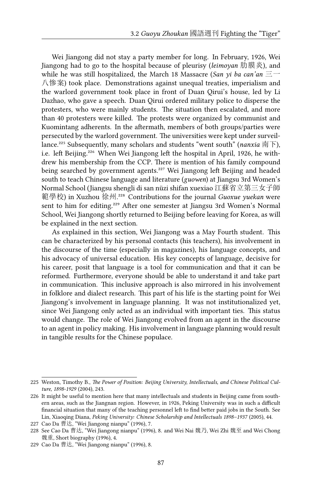Wei Jiangong did not stay a party member for long. In February, 1926, Wei Jiangong had to go to the hospital because of pleurisy (*leimoyan* 肋膜炎), and while he was still hospitalized, the March 18 Massacre (*San yi ba can'an* 三一 八惨案) took place. Demonstrations against unequal treaties, imperialism and the warlord government took place in front of Duan Qirui's house, led by Li Dazhao, who gave a speech. Duan Qirui ordered military police to disperse the protesters, who were mainly students. The situation then escalated, and more than 40 protesters were killed. The protests were organized by communist and Kuomintang adherents. In the aftermath, members of both groups/parties were persecuted by the warlord government. The universities were kept under surveillance.²²⁵ Subsequently, many scholars and students "went south" (*nanxia* 南下), i.e. left Beijing.<sup>226</sup> When Wei Jiangong left the hospital in April, 1926, he withdrew his membership from the CCP. There is mention of his family compound being searched by government agents.<sup>227</sup> Wei Jiangong left Beijing and headed south to teach Chinese language and literature (*guowen*) at Jiangsu 3rd Women's Normal School (Jiangsu shengli di san nüzi shifan xuexiao 江蘇省立第三女子師 範學校) in Xuzhou 徐州.<sup>228</sup> Contributions for the journal *Guoxue yuekan* were sent to him for editing.<sup>229</sup> After one semester at Jiangsu 3rd Women's Normal School, Wei Jiangong shortly returned to Beijing before leaving for Korea, as will be explained in the next section.

As explained in this section, Wei Jiangong was a May Fourth student. This can be characterized by his personal contacts (his teachers), his involvement in the discourse of the time (especially in magazines), his language concepts, and his advocacy of universal education. His key concepts of language, decisive for his career, posit that language is a tool for communication and that it can be reformed. Furthermore, everyone should be able to understand it and take part in communication. This inclusive approach is also mirrored in his involvement in folklore and dialect research. This part of his life is the starting point for Wei Jiangong's involvement in language planning. It was not institutionalized yet, since Wei Jiangong only acted as an individual with important ties. This status would change. The role of Wei Jiangong evolved from an agent in the discourse to an agent in policy making. His involvement in language planning would result in tangible results for the Chinese populace.

<sup>225</sup> Weston, Timothy B., *The Power of Position: Beijing University, Intellectuals, and Chinese Political Culture, 1898-1929* (2004), 243.

<sup>226</sup> It might be useful to mention here that many intellectuals and students in Beijing came from southern areas, such as the Jiangnan region. However, in 1926, Peking University was in such a difficult financial situation that many of the teaching personnel left to find better paid jobs in the South. See Lin, Xiaoqing Diana, *Peking University: Chinese Scholarship and Intellectuals 1898–1937* (2005), 44.

<sup>227</sup> Cao Da 曹达, "Wei Jiangong nianpu" (1996), 7.

<sup>228</sup> See Cao Da 曹达, "Wei Jiangong nianpu" (1996), 8. and Wei Nai 魏乃, Wei Zhi 魏至 and Wei Chong 魏重, Short biography (1996), 4.

<sup>229</sup> Cao Da 曹达, "Wei Jiangong nianpu" (1996), 8.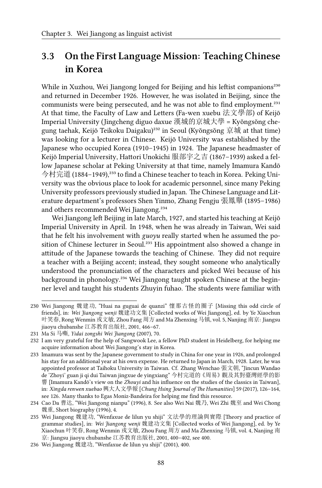## **3.3 On the First Language Mission: Teaching Chinese in Korea**

While in Xuzhou, Wei Jiangong longed for Beijing and his leftist companions<sup>230</sup> and returned in December 1926. However, he was isolated in Beijing, since the communists were being persecuted, and he was not able to find employment.<sup>231</sup> At that time, the Faculty of Law and Letters (Fa-wen xuebu 法文學部) of Keijō Imperial University (Jingcheng diguo daxue 漢城的京城大學 = Kyŏngsŏng chegung taehak, Keijō Teikoku Daigaku)<sup>232</sup> in Seoul (Kyŏngsŏng 京城 at that time) was looking for a lecturer in Chinese. Keijō University was established by the Japanese who occupied Korea (1910–1945) in 1924. The Japanese headmaster of Keijō Imperial University, Hattori Unokichi 服部宇之吉 (1867–1939) asked a fellow Japanese scholar at Peking University at that time, namely Imamura Kandō 今村完道 (1884-1949),<sup>233</sup> to find a Chinese teacher to teach in Korea. Peking University was the obvious place to look for academic personnel, since many Peking University professors previously studied in Japan. The Chinese Language and Literature department's professors Shen Yinmo, Zhang Fengju 張鳳舉 (1895–1986) and others recommended Wei Jiangong.<sup>234</sup>

Wei Jiangong left Beijing in late March, 1927, and started his teaching at Keijō Imperial University in April. In 1948, when he was already in Taiwan, Wei said that he felt his involvement with *guoyu* really started when he assumed the position of Chinese lecturer in Seoul.<sup>235</sup> His appointment also showed a change in attitude of the Japanese towards the teaching of Chinese. They did not require a teacher with a Beijing accent; instead, they sought someone who analytically understood the pronunciation of the characters and picked Wei because of his background in phonology.<sup>236</sup> Wei Jiangong taught spoken Chinese at the beginner level and taught his students Zhuyin fuhao. The students were familiar with

<sup>230</sup> Wei Jiangong 魏建功, "Huai na guguai de quanzi" 懷那古怪的圈子 [Missing this odd circle of friends], in: *Wei Jiangong wenji* 魏建功文集 [Collected works of Wei Jiangong], ed. by Ye Xiaochun 叶笑春, Rong Wenmin 戎文敏, Zhou Fang 周方 and Ma Zhenxing 马镇, vol. 5, Nanjing 南京: Jiangsu jiaoyu chubanshe 江苏教育出版社, 2001, 466–67.

<sup>231</sup> Ma Si 马嘶, *Yidai zongshi Wei Jiangong* (2007), 70.

<sup>232</sup> I am very grateful for the help of Sangwook Lee, a fellow PhD student in Heidelberg, for helping me acquire information about Wei Jiangong's stay in Korea.

<sup>233</sup> Imamura was sent by the Japanese government to study in China for one year in 1926, and prolonged his stay for an additional year at his own expense. He returned to Japan in March, 1928. Later, he was appointed professor at Taihoku University in Taiwan. Cf. Zhang Wenchao 張文朝, "Jincun Wandao de 'Zhoyi' guan ji qi dui Taiwan jingxue de yingxiang" 今村完道的《周易》觀及其對臺灣經學的影 響 [Imamura Kandō's view on the *Zhouyi* and his influence on the studies of the classics in Taiwan], in: *Xingda renwen xuebao* 興大人文學報 [*Chung Hsing Journal of The Humanities*] 59 (2017), 126–164, see 126. Many thanks to Egas Moniz-Bandeira for helping me find this resource.

<sup>234</sup> Cao Da 曹达, "Wei Jiangong nianpu" (1996), 8. See also Wei Nai 魏乃, Wei Zhi 魏至 and Wei Chong 魏重, Short biography (1996), 4.

<sup>235</sup> Wei Jiangong 魏建功, "Wenfaxue de lilun yu shiji" 文法學的理論與實際 [Theory and practice of grammar studies], in: *Wei Jiangong wenji* 魏建功文集 [Collected works of Wei Jiangong], ed. by Ye Xiaochun 叶笑春, Rong Wenmin 戎文敏, Zhou Fang 周方 and Ma Zhenxing 马镇, vol. 4, Nanjing 南 京: Jiangsu jiaoyu chubanshe 江苏教育出版社, 2001, 400–402, see 400.

<sup>236</sup> Wei Jiangong 魏建功, "Wenfaxue de lilun yu shiji" (2001), 400.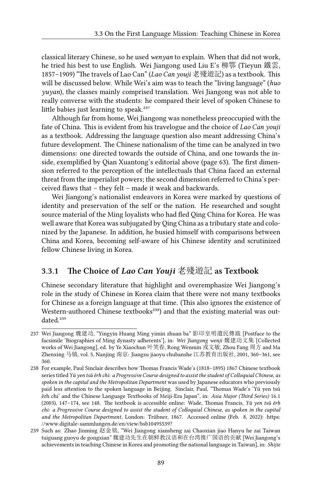classical literary Chinese, so he used *wenyan* to explain. When that did not work, he tried his best to use English. Wei Jiangong used Liu E's 柳鄂 (Tieyun 鐵雲, 1857–1909) "The travels of Lao Can" (*Lao Can youji* 老殘遊記) as a textbook. This will be discussed below. While Wei's aim was to teach the "living language" (*huo yuyan*), the classes mainly comprised translation. Wei Jiangong was not able to really converse with the students: he compared their level of spoken Chinese to little babies just learning to speak.<sup>237</sup>

Although far from home, Wei Jiangong was nonetheless preoccupied with the fate of China. This is evident from his travelogue and the choice of *Lao Can youji* as a textbook. Addressing the language question also meant addressing China's future development. The Chinese nationalism of the time can be analyzed in two dimensions: one directed towards the outside of China, and one towards the inside, exemplified by Qian Xuantong's editorial above (page 63). The first dimension referred to the perception of the intellectuals that China faced an external threat from the imperialist powers; the second dimension referred to China's perceived flaws that – they felt – made it weak and backwards.

Wei Jiangong's nationalist endeavors in Korea were marked by questions of identity and preservation of the self or the nation. He researched and sought source material of the Ming loyalists who had fled Qing China for Korea. He was well aware that Korea was subjugated by Qing China as a tributary state and colonized by the Japanese. In addition, he busied himself with comparisons between China and Korea, becoming self-aware of his Chinese identity and scrutinized fellow Chinese living in Korea.

#### **3.3.1 The Choice of** *Lao Can Youji* 老殘遊記 **as Textbook**

Chinese secondary literature that highlight and overemphasize Wei Jiangong's role in the study of Chinese in Korea claim that there were not many textbooks for Chinese as a foreign language at that time. (This also ignores the existence of Western-authored Chinese textbooks<sup>238</sup>) and that the existing material was outdated.<sup>239</sup>

<sup>237</sup> Wei Jiangong 魏建功, "Yingyin Huang Ming yimin zhuan ba" 影印皇明遺民傳跋 [Postface to the facsimile 'Biographies of Ming dynasty adherents'], in: *Wei Jiangong wenji* 魏建功文集 [Collected works of Wei Jiangong], ed. by Ye Xiaochun 叶笑春, Rong Wenmin 戎文敏, Zhou Fang 周方 and Ma Zhenxing 马镇, vol. 5, Nanjing 南京: Jiangsu jiaoyu chubanshe 江苏教育出版社, 2001, 360–361, see 360.

<sup>238</sup> For example, Paul Sinclair describes how Thomas Francis Wade's (1818–1895) 1867 Chinese textbook series titled *Yü yen tsǔ êrh chi: a Progressive Course designed to assist the student of Colloquial Chinese, as spoken in the capital and the Metropolitan Department* was used by Japanese educators who previously paid less attention to the spoken language in Beijing. Sinclair, Paul, "Thomas Wade's 'Yü yen tsǔ êrh chi' and the Chinese Language Textbooks of Meiji-Era Japan", in: *Asia Major (Third Series)* 16.1 (2003), 147–174, see 148. The textbook is accessible online: Wade, Thomas Francis, *Yü yen tsǔ êrh chi: a Progressive Course designed to assist the student of Colloquial Chinese, as spoken in the capital and the Metropolitan Department*, London: Trübner, 1867. Accessed online (Feb. 8, 2022): [https:](https://www.digitale-sammlungen.de/en/view/bsb10495539?) [//www.digitale-sammlungen.de/en/view/bsb10495539?](https://www.digitale-sammlungen.de/en/view/bsb10495539?)

<sup>239</sup> Such as: Zhao Jinming 赵金铭, "Wei Jiangong xiansheng zai Chaoxian jiao Hanyu he zai Taiwan tuiguang guoyu de gongxian" 魏建功先生在朝鲜教汉语和在台湾推广国语的贡献 [Wei Jiangong's achievements in teaching Chinese in Korea and promoting the national language in Taiwan], in: *Shijie*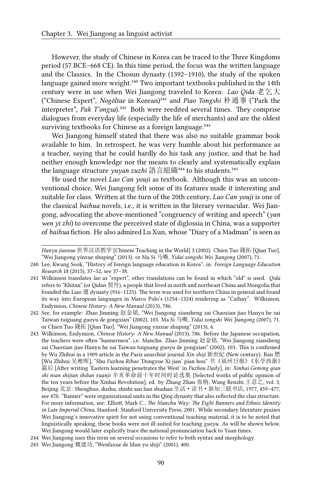However, the study of Chinese in Korea can be traced to the Three Kingdoms period (57 BCE–668 CE). In this time period, the focus was the written language and the Classics. In the Chosun dynasty (1392–1910), the study of the spoken language gained more weight.<sup>240</sup> Two important textbooks published in the 14th century were in use when Wei Jiangong traveled to Korea: *Lao Qida* 老乞大 ("Chinese Expert", *Nogŏltae* in Korean)<sup>241</sup> and *Piao Tongshi* 朴通事 ("Park the interpreter", *Pak T'ongsa*).<sup>242</sup> Both were reedited several times. They comprise dialogues from everyday life (especially the life of merchants) and are the oldest surviving textbooks for Chinese as a foreign language.<sup>243</sup>

Wei Jiangong himself stated that there was also no suitable grammar book available to him. In retrospect, he was very humble about his performance as a teacher, saying that he could hardly do his task any justice, and that he had neither enough knowledge nor the means to clearly and systematically explain the language structure *yuyan zuzhi* 語言組織<sup>244</sup> to his students.<sup>245</sup>

He used the novel *Lao Can youji* as textbook. Although this was an unconventional choice, Wei Jiangong felt some of its features made it interesting and suitable for class. Written at the turn of the 20th century, *Lao Can youji* is one of the classical *baihua* novels, i.e., it is written in the literary vernacular. Wei Jiangong, advocating the above-mentioned "congruency of writing and speech" (*yan wen yi zhi*) to overcome the perceived state of diglossia in China, was a supporter of *baihua* fiction. He also admired Lu Xun, whose "Diary of a Madman" is seen as

*Hanyu jiaoxue* 世界汉语教学 [Chinese Teaching in the World] 3 (2002). Chien Tuo 錢拓 [Qian Tuo], "Wei Jiangong yinxue shuping" (2013). or Ma Si 马嘶, *Yidai zongshi Wei Jiangong* (2007), 71.

<sup>240</sup> Lee, Kwang Sook, "History of foreign language education in Korea", in: *Foreign Language Education Research* 18 (2015), 37–52, see 37–38.

<sup>241</sup> Wilkinson translates *lao* as "expert", other translations can be found in which "old" is used. *Qida* refers to "Khitan" (or Qidan 契丹), a people that lived in north and northeast China and Mongolia that founded the Liao 遼 dynasty (916–1125). The term was used for northern China in general and found its way into European languages in Marco Polo's (1254–1324) rendering as "Cathay". Wilkinson, Endymion, *Chinese History: A New Manual* (2013), 786.

<sup>242</sup> See, for example: Zhao Jinming 赵金铭, "Wei Jiangong xiansheng zai Chaoxian jiao Hanyu he zai Taiwan tuiguang guoyu de gongxian" (2002), 103. Ma Si 马嘶, *Yidai zongshi Wei Jiangong* (2007), 71. or Chien Tuo 錢拓 [Qian Tuo], "Wei Jiangong yinxue shuping" (2013), 4.

<sup>243</sup> Wilkinson, Endymion, *Chinese History: A New Manual* (2013), 786. Before the Japanese occupation, the teachers were often "bannermen", i.e. Manchu. Zhao Jinming 赵金铭, "Wei Jiangong xiansheng zai Chaoxian jiao Hanyu he zai Taiwan tuiguang guoyu de gongxian" (2002), 103. This is confirmed by Wu Zhihui in a 1909 article in the Paris anarchist journal *Xin shiji* 新世紀 (New century). Ran 燃 [Wu Zhihui 吴稚晖], "Shu *Fuzhou Ribao* 'Dongxue Xi jian' pian hou" 书《福州日报》《东学西渐》 篇后 [After writing 'Eastern learning penetrates the West' in *Fuzhou Daily*], in: *Xinhai Geming qian shi nian shijian shilun xuanji* 辛亥革命前十年时间时论选集 [Selected works of public opinion of the ten years before the Xinhai Revolution], ed. by Zhang Zhan 张栴, Wang Renzhi 王忍之, vol. 3, Beijing 北京: Shenghuo, dushu, zhishi san lian shudian 生活·读书·新知三联书店, 1977, 459–477, see 470. "Banner" were organizational units in the Qing dynasty that also reflected the clan structure. For more information, see: Elliott, Mark C., *The Manchu Way: The Eight Banners and Ethnic Identity in Late Imperial China*, Stanford: Stanford University Press, 2001. While secondary literature praises Wei Jiangong's innovative spirit for not using conventional teaching material, it is to be noted that linguistically speaking, these books were not ill-suited for teaching *guoyu*. As will be shown below, Wei Jiangong would later explicitly trace the national pronunciation back to Yuan times.

<sup>244</sup> Wei Jiangong uses this term on several occasions to refer to both syntax and morphology.

<sup>245</sup> Wei Jiangong 魏建功, "Wenfaxue de lilun yu shiji" (2001), 400.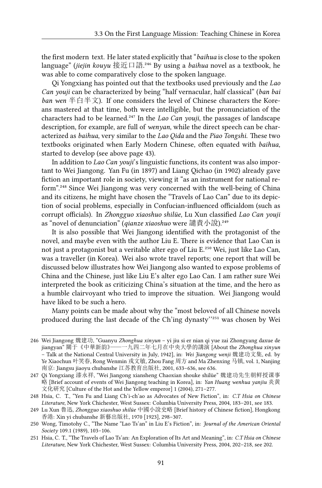the first modern text. He later stated explicitly that "*baihua* is close to the spoken language" (*jiejin kouyu* 接近口語.<sup>246</sup> By using a *baihua* novel as a textbook, he was able to come comparatively close to the spoken language.

Qi Yongxiang has pointed out that the textbooks used previously and the *Lao Can youji* can be characterized by being "half vernacular, half classical" (*ban bai ban wen* 半白半文). If one considers the level of Chinese characters the Koreans mastered at that time, both were intelligible, but the pronunciation of the characters had to be learned.<sup>247</sup> In the *Lao Can youji*, the passages of landscape description, for example, are full of *wenyan*, while the direct speech can be characterized as *baihua*, very similar to the *Lao Qida* and the *Piao Tongshi*. These two textbooks originated when Early Modern Chinese, often equated with *baihua*, started to develop (see above page 43).

In addition to *Lao Can youji*'s linguistic functions, its content was also important to Wei Jiangong. Yan Fu (in 1897) and Liang Qichao (in 1902) already gave fiction an important role in society, viewing it "as an instrument for national reform"<sup>248</sup> Since Wei Jiangong was very concerned with the well-being of China and its citizens, he might have chosen the "Travels of Lao Can" due to its depiction of social problems, especially in Confucian-influenced officialdom (such as corrupt officials). In *Zhongguo xiaoshuo shilüe*, Lu Xun classified *Lao Can youji* as "novel of denunciation" (*qianze xiaoshuo* were 譴責小說).<sup>249</sup>

It is also possible that Wei Jiangong identified with the protagonist of the novel, and maybe even with the author Liu E. There is evidence that Lao Can is not just a protagonist but a veritable alter ego of Liu E.<sup>250</sup> Wei, just like Lao Can, was a traveller (in Korea). Wei also wrote travel reports; one report that will be discussed below illustrates how Wei Jiangong also wanted to expose problems of China and the Chinese, just like Liu E's alter ego Lao Can. I am rather sure Wei interpreted the book as criticizing China's situation at the time, and the hero as a humble clairvoyant who tried to improve the situation. Wei Jiangong would have liked to be such a hero.

Many points can be made about why the "most beloved of all Chinese novels produced during the last decade of the Ch'ing dynasty"<sup>251</sup> was chosen by Wei

<sup>246</sup> Wei Jiangong 魏建功, "Guanyu *Zhonghua xinyun* – yi jiu si er nian qi yue zai Zhongyang daxue de jiangyan" 關于《中華新韵》——一九四二年七月在中央大學的講演 [About the *Zhonghua xinyun* – Talk at the National Central University in July, 1942], in: *Wei Jiangong wenji* 魏建功文集, ed. by Ye Xiaochun 叶笑春, Rong Wenmin 戎文敏, Zhou Fang 周方 and Ma Zhenxing 马镇, vol. 1, Nanjing 南京: Jiangsu jiaoyu chubanshe 江苏教育出版社, 2001, 633–636, see 636.

<sup>247</sup> Qi Yongxiang 漆永祥, "Wei Jiangong xiansheng Chaoxian shouke shilüe" 魏建功先生朝鲜授课事 略 [Brief account of events of Wei Jiangong teaching in Korea], in: *Yan Huang wenhua yanjiu* 炎黄 文化研究 [Culture of the Hot and the Yellow emperor] 1 (2004), 271–277.

<sup>248</sup> Hsia, C. T., "Yen Fu and Liang Ch'i-ch'ao as Advocates of New Fiction", in: *C.T Hsia on Chinese Literature*, New York Chichester, West Sussex: Columbia University Press, 2004, 183–201, see 183.

<sup>249</sup> Lu Xun 魯迅, *Zhongguo xiaoshuo shilüe* 中國小說史略 [Brief history of Chinese fiction], Hongkong 香港: Xin yi chubanshe 新藝出版社, 1970 [1923], 298–307.

<sup>250</sup> Wong, Timotohy C., "The Name "Lao Ts'an" in Liu E's Fiction", in: *Journal of the American Oriental Society* 109.1 (1989), 103–106.

<sup>251</sup> Hsia, C. T., "The Travels of Lao Ts'an: An Exploration of Its Art and Meaning", in: *C.T Hsia on Chinese Literature*, New York Chichester, West Sussex: Columbia University Press, 2004, 202–218, see 202.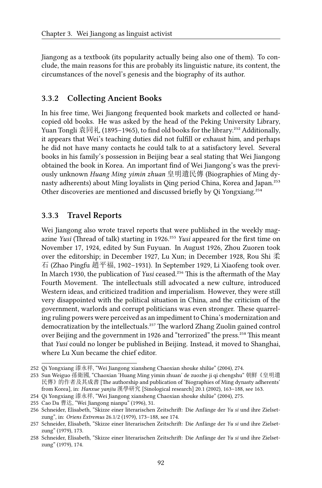Jiangong as a textbook (its popularity actually being also one of them). To conclude, the main reasons for this are probably its linguistic nature, its content, the circumstances of the novel's genesis and the biography of its author.

#### **3.3.2 Collecting Ancient Books**

In his free time, Wei Jiangong frequented book markets and collected or handcopied old books. He was asked by the head of the Peking University Library, Yuan Tongli 袁同礼 (1895–1965), to find old books for the library.<sup>252</sup> Additionally, it appears that Wei's teaching duties did not fulfill or exhaust him, and perhaps he did not have many contacts he could talk to at a satisfactory level. Several books in his family's possession in Beijing bear a seal stating that Wei Jiangong obtained the book in Korea. An important find of Wei Jiangong's was the previously unknown *Huang Ming yimin zhuan* 皇明遺民傳 (Biographies of Ming dynasty adherents) about Ming loyalists in Qing period China, Korea and Japan.<sup>253</sup> Other discoveries are mentioned and discussed briefly by Oi Yongxiang.<sup>254</sup>

#### **3.3.3 Travel Reports**

Wei Jiangong also wrote travel reports that were published in the weekly magazine *Yusi* (Thread of talk) starting in 1926.<sup>255</sup> *Yusi* appeared for the first time on November 17, 1924, edited by Sun Fuyuan. In August 1926, Zhou Zuoren took over the editorship; in December 1927, Lu Xun; in December 1928, Rou Shi 柔 石 (Zhao Pingfu 趙平福, 1902–1931). In September 1929, Li Xiaofeng took over. In March 1930, the publication of *Yusi* ceased.<sup>256</sup> This is the aftermath of the May Fourth Movement. The intellectuals still advocated a new culture, introduced Western ideas, and criticized tradition and imperialism. However, they were still very disappointed with the political situation in China, and the criticism of the government, warlords and corrupt politicians was even stronger. These quarreling ruling powers were perceived as an impediment to China's modernization and democratization by the intellectuals.<sup>257</sup> The warlord Zhang Zuolin gained control over Beijing and the government in 1926 and "terrorized" the press.<sup>258</sup> This meant that *Yusi* could no longer be published in Beijing. Instead, it moved to Shanghai, where Lu Xun became the chief editor.

<sup>252</sup> Qi Yongxiang 漆永祥, "Wei Jiangong xiansheng Chaoxian shouke shilüe" (2004), 274.

<sup>253</sup> Sun Weiguo 孫衛國, "Chaoxian 'Huang Ming yimin zhuan' de zuozhe ji qi chengshu" 朝鮮《皇明遺 民傳》的作者及其成書 [The authorship and publication of 'Biographies of Ming dynasty adherents' from Korea], in: *Hanxue yanjiu* 漢學研究 [Sinological research] 20.1 (2002), 163–188, see 163.

<sup>254</sup> Qi Yongxiang 漆永祥, "Wei Jiangong xiansheng Chaoxian shouke shilüe" (2004), 275.

<sup>255</sup> Cao Da 曹达, "Wei Jiangong nianpu" (1996), 31.

<sup>256</sup> Schneider, Elisabeth, "Skizze einer literarischen Zeitschrift: Die Anfänge der *Yu si* und ihre Zielsetzung", in: *Oriens Extremus* 26.1/2 (1979), 173–188, see 174.

<sup>257</sup> Schneider, Elisabeth, "Skizze einer literarischen Zeitschrift: Die Anfänge der *Yu si* und ihre Zielsetzung" (1979), 173.

<sup>258</sup> Schneider, Elisabeth, "Skizze einer literarischen Zeitschrift: Die Anfänge der *Yu si* und ihre Zielsetzung" (1979), 174.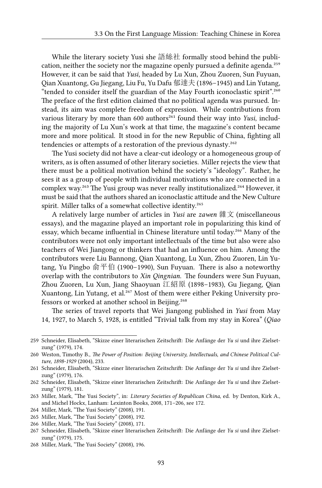While the literary society Yusi she 語絲社 formally stood behind the publication, neither the society nor the magazine openly pursued a definite agenda.<sup>259</sup> However, it can be said that *Yusi*, headed by Lu Xun, Zhou Zuoren, Sun Fuyuan, Qian Xuantong, Gu Jiegang, Liu Fu, Yu Dafu 郁達夫 (1896–1945) and Lin Yutang, "tended to consider itself the guardian of the May Fourth iconoclastic spirit".<sup>260</sup> The preface of the first edition claimed that no political agenda was pursued. Instead, its aim was complete freedom of expression. While contributions from various literary by more than 600 authors<sup>261</sup> found their way into *Yusi*, including the majority of Lu Xun's work at that time, the magazine's content became more and more political. It stood in for the new Republic of China, fighting all tendencies or attempts of a restoration of the previous dynasty.<sup>262</sup>

The Yusi society did not have a clear-cut ideology or a homogeneous group of writers, as is often assumed of other literary societies. Miller rejects the view that there must be a political motivation behind the society's "ideology". Rather, he sees it as a group of people with individual motivations who are connected in a complex way.<sup>263</sup> The Yusi group was never really institutionalized.<sup>264</sup> However, it must be said that the authors shared an iconoclastic attitude and the New Culture spirit. Miller talks of a somewhat collective identity.<sup>265</sup>

A relatively large number of articles in *Yusi* are *zawen* 雜文 (miscellaneous essays), and the magazine played an important role in popularizing this kind of essay, which became influential in Chinese literature until today.<sup>266</sup> Many of the contributors were not only important intellectuals of the time but also were also teachers of Wei Jiangong or thinkers that had an influence on him. Among the contributors were Liu Bannong, Qian Xuantong, Lu Xun, Zhou Zuoren, Lin Yutang, Yu Pingbo 俞平伯 (1900–1990), Sun Fuyuan. There is also a noteworthy overlap with the contributors to *Xin Qingnian*. The founders were Sun Fuyuan, Zhou Zuoren, Lu Xun, Jiang Shaoyuan 江紹原 (1898–1983), Gu Jiegang, Qian Xuantong, Lin Yutang, et al.<sup>267</sup> Most of them were either Peking University professors or worked at another school in Beijing.<sup>268</sup>

The series of travel reports that Wei Jiangong published in *Yusi* from May 14, 1927, to March 5, 1928, is entitled "Trivial talk from my stay in Korea" (*Qiao*

<sup>259</sup> Schneider, Elisabeth, "Skizze einer literarischen Zeitschrift: Die Anfänge der *Yu si* und ihre Zielsetzung" (1979), 174.

<sup>260</sup> Weston, Timothy B., *The Power of Position: Beijing University, Intellectuals, and Chinese Political Culture, 1898-1929* (2004), 233.

<sup>261</sup> Schneider, Elisabeth, "Skizze einer literarischen Zeitschrift: Die Anfänge der *Yu si* und ihre Zielsetzung" (1979), 176.

<sup>262</sup> Schneider, Elisabeth, "Skizze einer literarischen Zeitschrift: Die Anfänge der *Yu si* und ihre Zielsetzung" (1979), 181.

<sup>263</sup> Miller, Mark, "The Yusi Society", in: *Literary Societies of Republican China*, ed. by Denton, Kirk A., and Michel Hockx, Lanham: Lexinton Books, 2008, 171–206, see 172.

<sup>264</sup> Miller, Mark, "The Yusi Society" (2008), 191.

<sup>265</sup> Miller, Mark, "The Yusi Society" (2008), 192.

<sup>266</sup> Miller, Mark, "The Yusi Society" (2008), 171.

<sup>267</sup> Schneider, Elisabeth, "Skizze einer literarischen Zeitschrift: Die Anfänge der *Yu si* und ihre Zielsetzung" (1979), 175.

<sup>268</sup> Miller, Mark, "The Yusi Society" (2008), 196.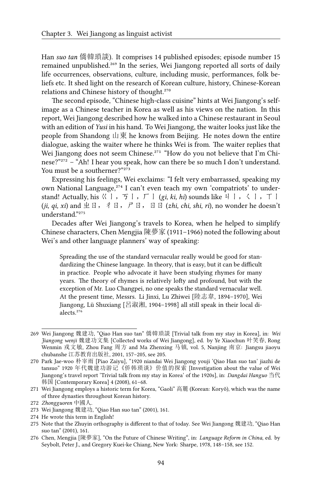Han *suo tan* 僑韓瑣談). It comprises 14 published episodes; episode number 15 remained unpublished.<sup>269</sup> In the series, Wei Jiangong reported all sorts of daily life occurrences, observations, culture, including music, performances, folk beliefs etc. It shed light on the research of Korean culture, history, Chinese-Korean relations and Chinese history of thought.<sup>270</sup>

The second episode, "Chinese high-class cuisine" hints at Wei Jiangong's selfimage as a Chinese teacher in Korea as well as his views on the nation. In this report, Wei Jiangong described how he walked into a Chinese restaurant in Seoul with an edition of *Yusi* in his hand. To Wei Jiangong, the waiter looks just like the people from Shandong 山東 he knows from Beijing. He notes down the entire dialogue, asking the waiter where he thinks Wei is from. The waiter replies that Wei Jiangong does not seem Chinese.<sup>271</sup> "How do you not believe that I'm Chinese?"<sup>272</sup> – "Ah! I hear you speak, how can there be so much I don't understand. You must be a southerner?"273

Expressing his feelings, Wei exclaims: "I felt very embarrassed, speaking my own National Language,<sup>274</sup> I can't even teach my own 'compatriots' to understand! Actually, his  $\langle \langle | , \mathcal{F} | , \mathcal{F} | \rangle$  (*gi, ki, hi*) sounds like  $\mathcal{V} | , \mathcal{F} | , \mathcal{F} |$ (*ji, qi, xi*) and ㄓㄖ,ㄔㄖ,ㄕㄖ,ㄖㄖ (*zhi, chi, shi, ri*), no wonder he doesn't understand."275

Decades after Wei Jiangong's travels to Korea, when he helped to simplify Chinese characters, Chen Mengjia 陳夢家 (1911–1966) noted the following about Wei's and other language planners' way of speaking:

Spreading the use of the standard vernacular really would be good for standardizing the Chinese language. In theory, that is easy, but it can be difficult in practice. People who advocate it have been studying rhymes for many years. The theory of rhymes is relatively lofty and profound, but with the exception of Mr. Luo Changpei, no one speaks the standard vernacular well. At the present time, Messrs. Li Jinxi, Lu Zhiwei [陸志韋, 1894–1970], Wei Jiangong, Lü Shuxiang [呂淑湘, 1904–1998] all still speak in their local dialects.<sup>276</sup>

<sup>269</sup> Wei Jiangong 魏建功, "Qiao Han suo tan" 僑韓瑣談 [Trivial talk from my stay in Korea], in: *Wei Jiangong wenji* 魏建功文集 [Collected works of Wei Jiangong], ed. by Ye Xiaochun 叶笑春, Rong Wenmin 戎文敏, Zhou Fang 周方 and Ma Zhenxing 马镇, vol. 5, Nanjing 南京: Jiangsu jiaoyu chubanshe 江苏教育出版社, 2001, 157–205, see 205.

<sup>270</sup> Park Jae-woo 朴宰雨 [Piao Zaiyu], "1920 niandai Wei Jiangong youji 'Qiao Han suo tan' jiazhi de tansuo" 1920 年代魏建功游记《侨韩琐谈》价值的探索 [Investigation about the value of Wei Jiangong's travel report 'Trivial talk from my stay in Korea' of the 1920s], in: *Dangdai Hanguo* 当代 韩国 [Contemporary Korea] 4 (2008), 61-68.

<sup>271</sup> Wei Jiangong employs a historic term for Korea, "Gaoli" 高麗 (Korean: Koryŏ), which was the name of three dynasties throughout Korean history.

<sup>272</sup> *Zhongguoren* 中國人.

<sup>273</sup> Wei Jiangong 魏建功, "Qiao Han suo tan" (2001), 161.

<sup>274</sup> He wrote this term in English!

<sup>275</sup> Note that the Zhuyin orthography is different to that of today. See Wei Jiangong 魏建功, "Qiao Han suo tan" (2001), 161.

<sup>276</sup> Chen, Mengjia [陳夢家], "On the Future of Chinese Writing", in: *Language Reform in China*, ed. by Seybolt, Peter J., and Gregory Kuei-ke Chiang, New York: Sharpe, 1978, 148–158, see 152.